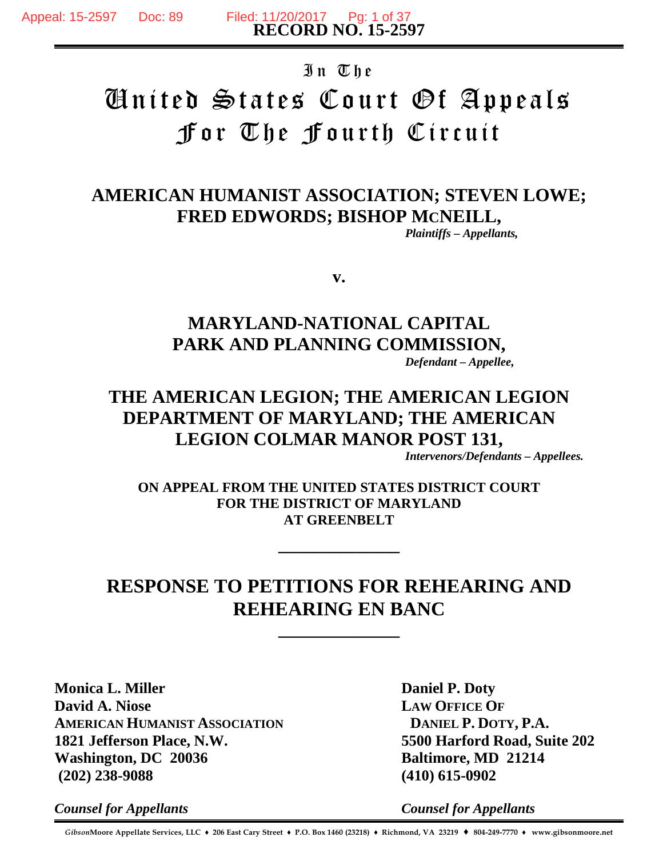# In The United States Court Of Appeals For The Fourth Circuit

# **AMERICAN HUMANIST ASSOCIATION; STEVEN LOWE; FRED EDWORDS; BISHOP MCNEILL,**

*Plaintiffs – Appellants,*

**v.**

# **MARYLAND-NATIONAL CAPITAL PARK AND PLANNING COMMISSION,**

*Defendant – Appellee,*

# **THE AMERICAN LEGION; THE AMERICAN LEGION DEPARTMENT OF MARYLAND; THE AMERICAN LEGION COLMAR MANOR POST 131,**

*Intervenors/Defendants – Appellees.*

**ON APPEAL FROM THE UNITED STATES DISTRICT COURT FOR THE DISTRICT OF MARYLAND AT GREENBELT**

**\_\_\_\_\_\_\_\_\_\_\_\_\_\_**

# **RESPONSE TO PETITIONS FOR REHEARING AND REHEARING EN BANC**

**\_\_\_\_\_\_\_\_\_\_\_\_\_\_**

**Monica L. Miller David A. Niose AMERICAN HUMANIST ASSOCIATION 1821 Jefferson Place, N.W. Washington, DC 20036 (202) 238-9088**

**Daniel P. Doty LAW OFFICE OF DANIEL P. DOTY, P.A. 5500 Harford Road, Suite 202 Baltimore, MD 21214 (410) 615-0902**

*Counsel for Appellants*

*Counsel for Appellants*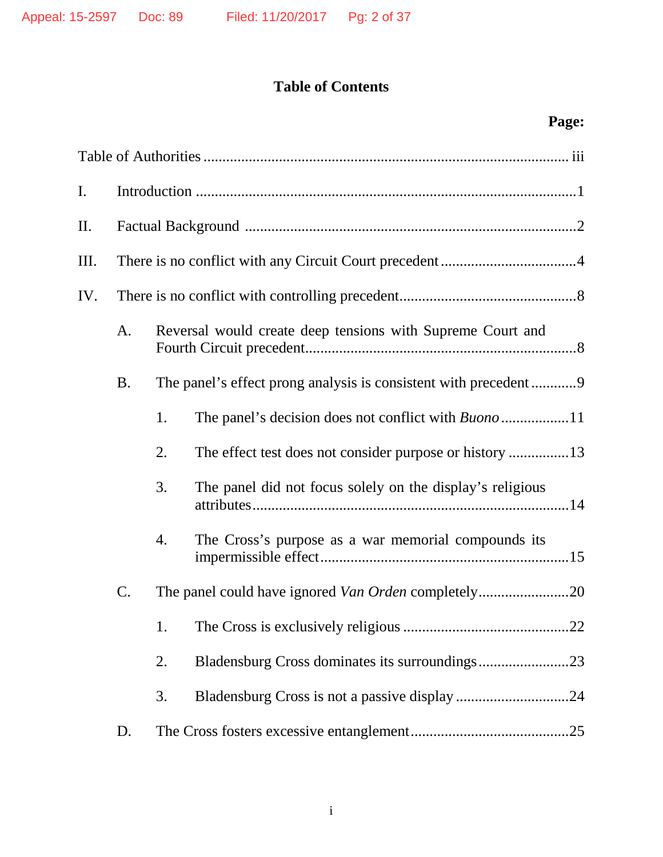# **Table of Contents**

# **Page:**

| I.  |                 |    |                                                            |  |  |  |
|-----|-----------------|----|------------------------------------------------------------|--|--|--|
| П.  |                 |    |                                                            |  |  |  |
| Ш.  |                 |    |                                                            |  |  |  |
| IV. |                 |    |                                                            |  |  |  |
|     | A.              |    | Reversal would create deep tensions with Supreme Court and |  |  |  |
|     | <b>B.</b>       |    |                                                            |  |  |  |
|     |                 | 1. |                                                            |  |  |  |
|     |                 | 2. | The effect test does not consider purpose or history 13    |  |  |  |
|     |                 | 3. | The panel did not focus solely on the display's religious  |  |  |  |
|     |                 | 4. | The Cross's purpose as a war memorial compounds its        |  |  |  |
|     | $\mathcal{C}$ . |    |                                                            |  |  |  |
|     |                 |    |                                                            |  |  |  |
|     |                 | 2. | Bladensburg Cross dominates its surroundings23             |  |  |  |
|     |                 | 3. |                                                            |  |  |  |
|     | D.              |    |                                                            |  |  |  |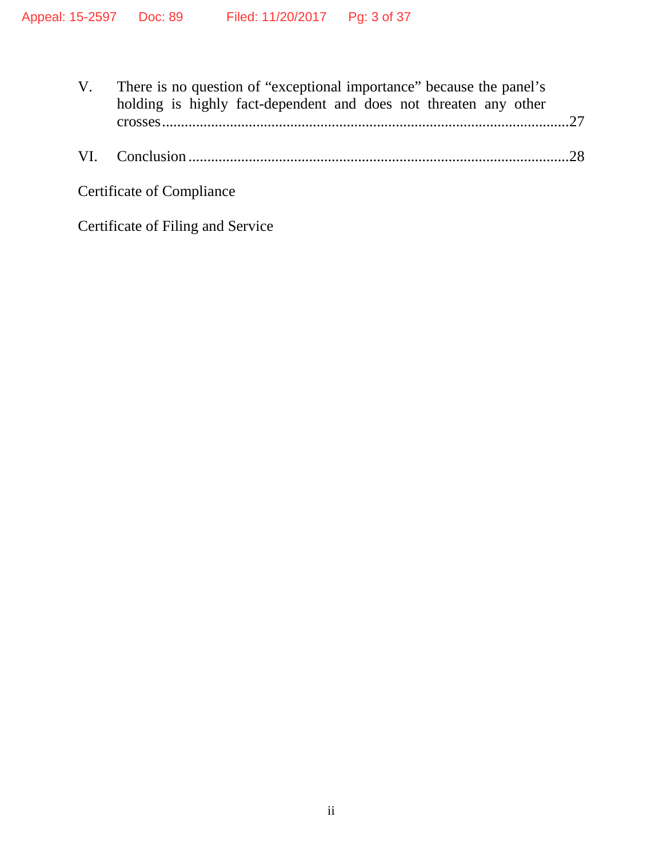| V. | There is no question of "exceptional importance" because the panel's<br>holding is highly fact-dependent and does not threaten any other |  |
|----|------------------------------------------------------------------------------------------------------------------------------------------|--|
|    |                                                                                                                                          |  |
|    | <b>Certificate of Compliance</b>                                                                                                         |  |

Certificate of Filing and Service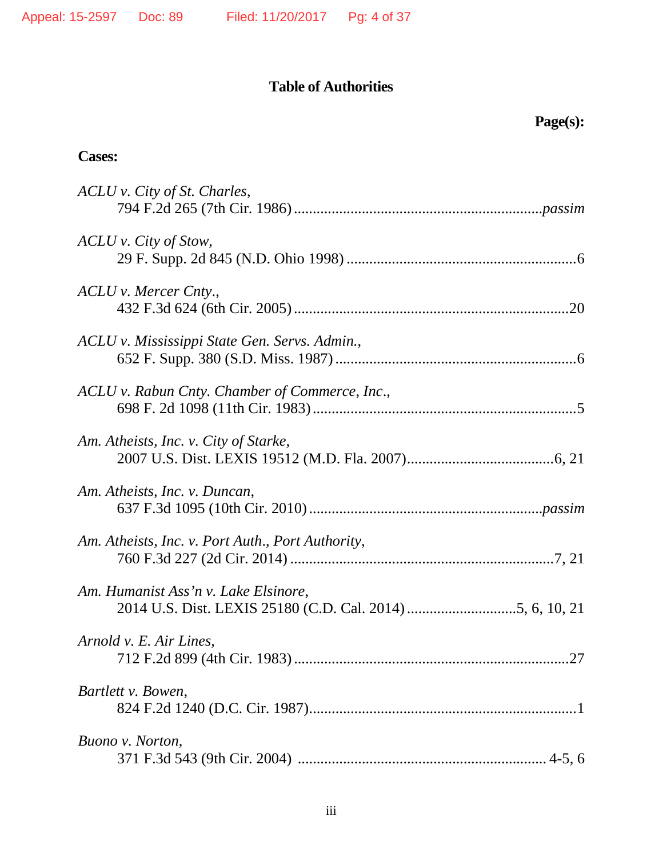## **Table of Authorities**

### **Cases:**

| ACLU v. City of St. Charles,                      |
|---------------------------------------------------|
| ACLU v. City of Stow,                             |
| ACLU v. Mercer Cnty.,                             |
| ACLU v. Mississippi State Gen. Servs. Admin.,     |
| ACLU v. Rabun Cnty. Chamber of Commerce, Inc.,    |
| Am. Atheists, Inc. v. City of Starke,             |
| Am. Atheists, Inc. v. Duncan,                     |
| Am. Atheists, Inc. v. Port Auth., Port Authority, |
| Am. Humanist Ass'n v. Lake Elsinore,              |
| Arnold v. E. Air Lines,                           |
| Bartlett v. Bowen,                                |
| Buono v. Norton,                                  |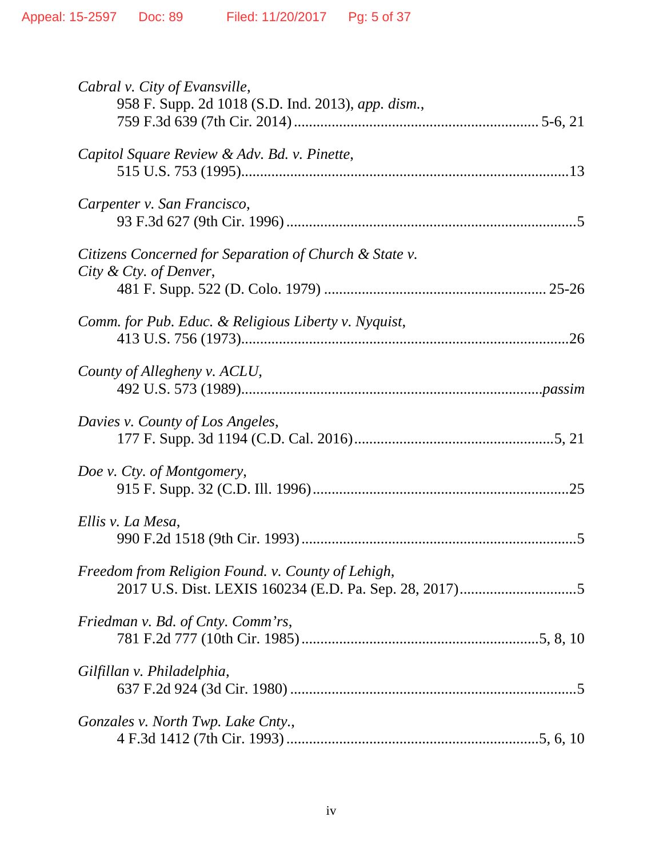| Cabral v. City of Evansville,<br>958 F. Supp. 2d 1018 (S.D. Ind. 2013), app. dism., |
|-------------------------------------------------------------------------------------|
| Capitol Square Review & Adv. Bd. v. Pinette,                                        |
| Carpenter v. San Francisco,                                                         |
| Citizens Concerned for Separation of Church & State v.<br>City & Cty. of Denver,    |
| Comm. for Pub. Educ. & Religious Liberty v. Nyquist,                                |
| County of Allegheny v. ACLU,                                                        |
| Davies v. County of Los Angeles,                                                    |
| Doe v. Cty. of Montgomery,                                                          |
| Ellis v. La Mesa,                                                                   |
| Freedom from Religion Found. v. County of Lehigh,                                   |
| Friedman v. Bd. of Cnty. Comm'rs,                                                   |
| Gilfillan v. Philadelphia,                                                          |
| Gonzales v. North Twp. Lake Cnty.,                                                  |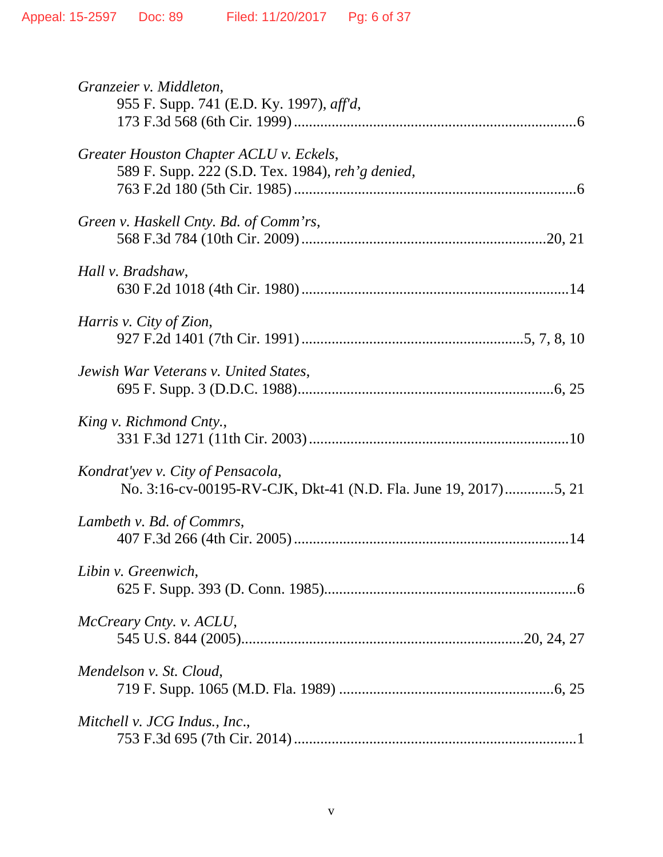| Granzeier v. Middleton,                                         |
|-----------------------------------------------------------------|
| 955 F. Supp. 741 (E.D. Ky. 1997), aff'd,                        |
|                                                                 |
| Greater Houston Chapter ACLU v. Eckels,                         |
| 589 F. Supp. 222 (S.D. Tex. 1984), reh'g denied,                |
|                                                                 |
|                                                                 |
| Green v. Haskell Cnty. Bd. of Comm'rs,                          |
|                                                                 |
| Hall v. Bradshaw,                                               |
|                                                                 |
|                                                                 |
| <i>Harris v. City of Zion,</i>                                  |
|                                                                 |
|                                                                 |
| Jewish War Veterans v. United States,                           |
|                                                                 |
|                                                                 |
| King v. Richmond Cnty.,                                         |
|                                                                 |
| Kondrat'yev v. City of Pensacola,                               |
| No. 3:16-cv-00195-RV-CJK, Dkt-41 (N.D. Fla. June 19, 2017)5, 21 |
|                                                                 |
| Lambeth v. Bd. of Commrs,                                       |
|                                                                 |
|                                                                 |
| Libin v. Greenwich,                                             |
|                                                                 |
|                                                                 |
| McCreary Cnty. v. ACLU,                                         |
|                                                                 |
| Mendelson v. St. Cloud,                                         |
|                                                                 |
|                                                                 |
| Mitchell v. JCG Indus., Inc.,                                   |
|                                                                 |
|                                                                 |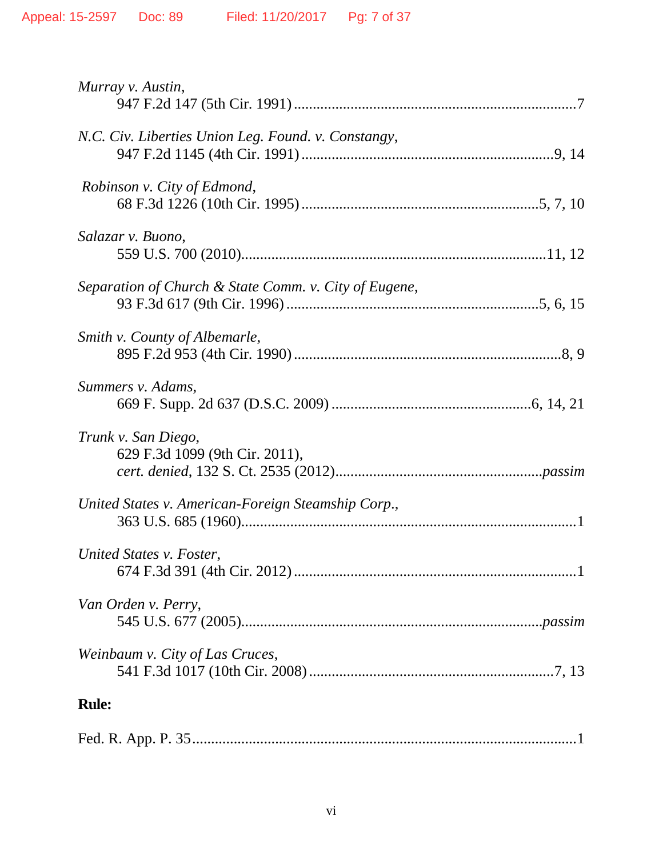| Murray v. Austin,                                     |
|-------------------------------------------------------|
| N.C. Civ. Liberties Union Leg. Found. v. Constangy,   |
| Robinson v. City of Edmond,                           |
| Salazar v. Buono,                                     |
| Separation of Church & State Comm. v. City of Eugene, |
| Smith v. County of Albemarle,                         |
| Summers v. Adams,                                     |
| Trunk v. San Diego,<br>629 F.3d 1099 (9th Cir. 2011), |
| United States v. American-Foreign Steamship Corp.,    |
| United States v. Foster,                              |
| Van Orden v. Perry,                                   |
| Weinbaum v. City of Las Cruces,                       |
| <b>Rule:</b>                                          |
|                                                       |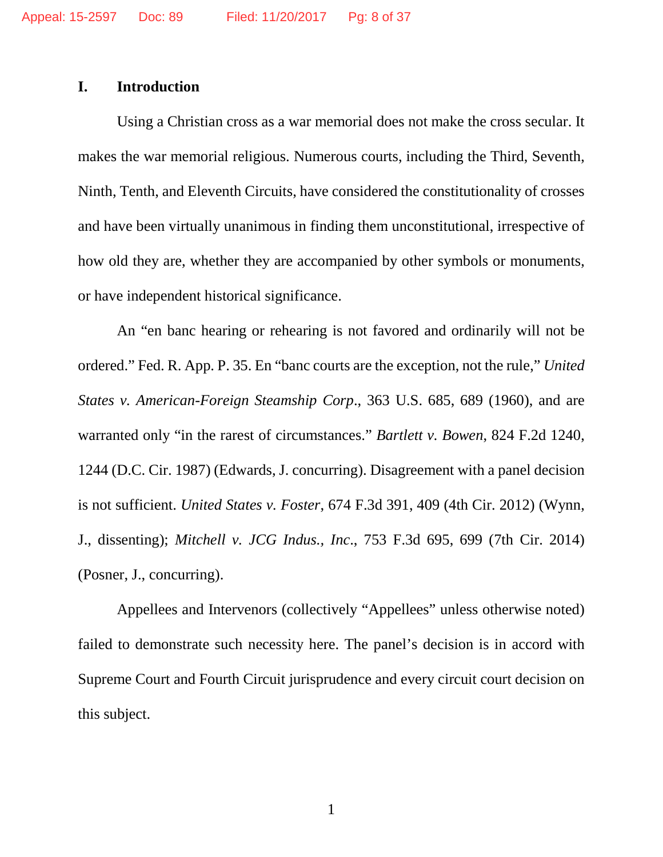### **I. Introduction**

Using a Christian cross as a war memorial does not make the cross secular. It makes the war memorial religious. Numerous courts, including the Third, Seventh, Ninth, Tenth, and Eleventh Circuits, have considered the constitutionality of crosses and have been virtually unanimous in finding them unconstitutional, irrespective of how old they are, whether they are accompanied by other symbols or monuments, or have independent historical significance.

An "en banc hearing or rehearing is not favored and ordinarily will not be ordered." Fed. R. App. P. 35. En "banc courts are the exception, not the rule," *United States v. American-Foreign Steamship Corp*., 363 U.S. 685, 689 (1960), and are warranted only "in the rarest of circumstances." *Bartlett v. Bowen*, 824 F.2d 1240, 1244 (D.C. Cir. 1987) (Edwards, J. concurring). Disagreement with a panel decision is not sufficient. *United States v. Foster*, 674 F.3d 391, 409 (4th Cir. 2012) (Wynn, J., dissenting); *Mitchell v. JCG Indus., Inc*., 753 F.3d 695, 699 (7th Cir. 2014) (Posner, J., concurring).

Appellees and Intervenors (collectively "Appellees" unless otherwise noted) failed to demonstrate such necessity here. The panel's decision is in accord with Supreme Court and Fourth Circuit jurisprudence and every circuit court decision on this subject.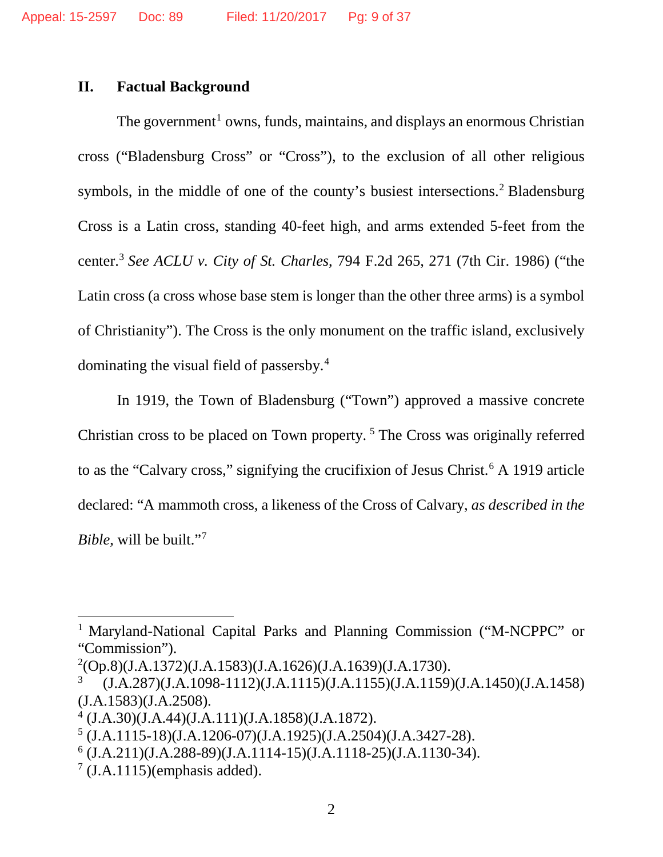#### **II. Factual Background**

The government<sup>[1](#page-8-0)</sup> owns, funds, maintains, and displays an enormous Christian cross ("Bladensburg Cross" or "Cross"), to the exclusion of all other religious symbols, in the middle of one of the county's busiest intersections.<sup>[2](#page-8-1)</sup> Bladensburg Cross is a Latin cross, standing 40-feet high, and arms extended 5-feet from the center.[3](#page-8-2) *See ACLU v. City of St. Charles*, 794 F.2d 265, 271 (7th Cir. 1986) ("the Latin cross (a cross whose base stem is longer than the other three arms) is a symbol of Christianity"). The Cross is the only monument on the traffic island, exclusively dominating the visual field of passersby. [4](#page-8-3)

In 1919, the Town of Bladensburg ("Town") approved a massive concrete Christian cross to be placed on Town property. [5](#page-8-4) The Cross was originally referred to as the "Calvary cross," signifying the crucifixion of Jesus Christ.<sup>[6](#page-8-5)</sup> A 1919 article declared: "A mammoth cross, a likeness of the Cross of Calvary, *as described in the Bible*, will be built.["7](#page-8-6)

<span id="page-8-0"></span><sup>&</sup>lt;sup>1</sup> Maryland-National Capital Parks and Planning Commission ("M-NCPPC" or "Commission").

<span id="page-8-1"></span> $^{2}$ (Op.8)(J.A.1372)(J.A.1583)(J.A.1626)(J.A.1639)(J.A.1730).

<span id="page-8-2"></span><sup>3</sup> (J.A.287)(J.A.1098-1112)(J.A.1115)(J.A.1155)(J.A.1159)(J.A.1450)(J.A.1458) (J.A.1583)(J.A.2508). 4 (J.A.30)(J.A.44)(J.A.111)(J.A.1858)(J.A.1872).

<span id="page-8-3"></span>

<span id="page-8-4"></span> $5$  (J.A.1115-18)(J.A.1206-07)(J.A.1925)(J.A.2504)(J.A.3427-28).

<span id="page-8-5"></span> $6$  (J.A.211)(J.A.288-89)(J.A.1114-15)(J.A.1118-25)(J.A.1130-34).

<span id="page-8-6"></span> $7$  (J.A.1115)(emphasis added).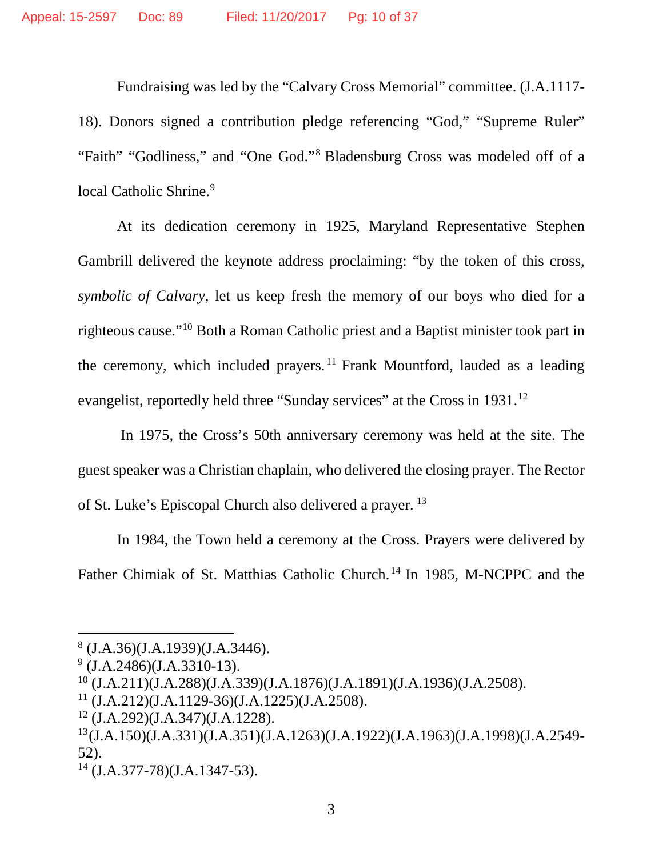Fundraising was led by the "Calvary Cross Memorial" committee. (J.A.1117- 18). Donors signed a contribution pledge referencing "God," "Supreme Ruler" "Faith" "Godliness," and "One God."[8](#page-9-0) Bladensburg Cross was modeled off of a local Catholic Shrine.<sup>[9](#page-9-1)</sup>

At its dedication ceremony in 1925, Maryland Representative Stephen Gambrill delivered the keynote address proclaiming: "by the token of this cross, *symbolic of Calvary*, let us keep fresh the memory of our boys who died for a righteous cause."[10](#page-9-2) Both a Roman Catholic priest and a Baptist minister took part in the ceremony, which included prayers.<sup>[11](#page-9-3)</sup> Frank Mountford, lauded as a leading evangelist, reportedly held three "Sunday services" at the Cross in 1931.<sup>[12](#page-9-4)</sup>

In 1975, the Cross's 50th anniversary ceremony was held at the site. The guest speaker was a Christian chaplain, who delivered the closing prayer. The Rector of St. Luke's Episcopal Church also delivered a prayer. [13](#page-9-5)

In 1984, the Town held a ceremony at the Cross. Prayers were delivered by Father Chimiak of St. Matthias Catholic Church. [14](#page-9-6) In 1985, M-NCPPC and the

<span id="page-9-0"></span> $8$  (J.A.36)(J.A.1939)(J.A.3446).

<span id="page-9-1"></span> $9$  (J.A.2486)(J.A.3310-13).

<span id="page-9-2"></span> $10$  (J.A.211)(J.A.288)(J.A.339)(J.A.1876)(J.A.1891)(J.A.1936)(J.A.2508).

<span id="page-9-3"></span><sup>11</sup> (J.A.212)(J.A.1129-36)(J.A.1225)(J.A.2508).

<span id="page-9-4"></span> $12$  (J.A.292)(J.A.347)(J.A.1228).

<span id="page-9-5"></span><sup>13(</sup>J.A.150)(J.A.331)(J.A.351)(J.A.1263)(J.A.1922)(J.A.1963)(J.A.1998)(J.A.2549- 52).

<span id="page-9-6"></span><sup>14</sup> (J.A.377-78)(J.A.1347-53).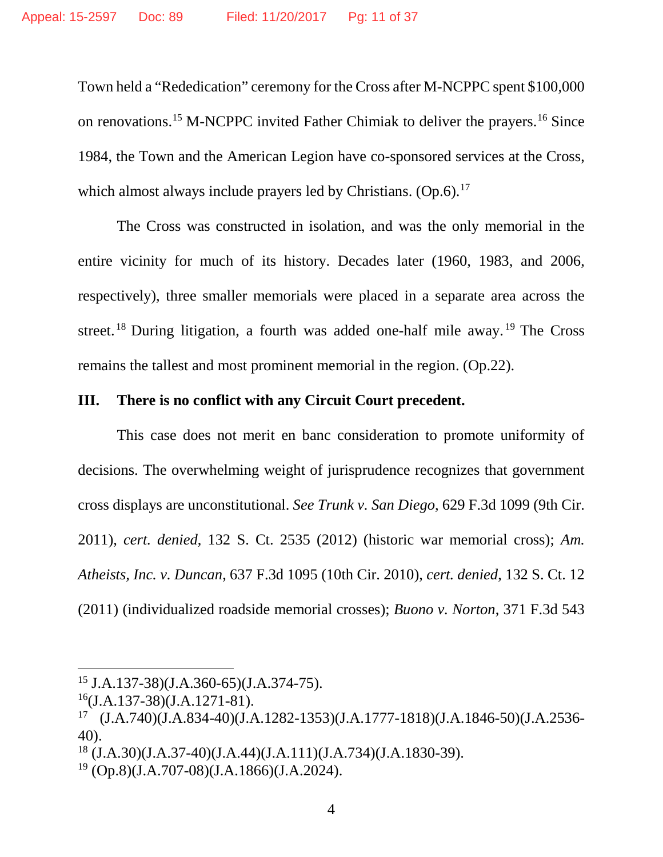Town held a "Rededication" ceremony for the Cross after M-NCPPC spent \$100,000 on renovations[.15](#page-10-0) M-NCPPC invited Father Chimiak to deliver the prayers.[16](#page-10-1) Since 1984, the Town and the American Legion have co-sponsored services at the Cross, which almost always include prayers led by Christians.  $(Op.6)^{17}$  $(Op.6)^{17}$  $(Op.6)^{17}$ 

The Cross was constructed in isolation, and was the only memorial in the entire vicinity for much of its history. Decades later (1960, 1983, and 2006, respectively), three smaller memorials were placed in a separate area across the street.<sup>[18](#page-10-3)</sup> During litigation, a fourth was added one-half mile away.<sup>[19](#page-10-4)</sup> The Cross remains the tallest and most prominent memorial in the region. (Op.22).

### **III. There is no conflict with any Circuit Court precedent.**

This case does not merit en banc consideration to promote uniformity of decisions. The overwhelming weight of jurisprudence recognizes that government cross displays are unconstitutional. *See Trunk v. San Diego*, 629 F.3d 1099 (9th Cir. 2011), *cert. denied*, 132 S. Ct. 2535 (2012) (historic war memorial cross); *Am. Atheists, Inc. v. Duncan*, 637 F.3d 1095 (10th Cir. 2010), *cert. denied*, 132 S. Ct. 12 (2011) (individualized roadside memorial crosses); *Buono v. Norton*, 371 F.3d 543

<span id="page-10-0"></span> <sup>15</sup> J.A.137-38)(J.A.360-65)(J.A.374-75).

<span id="page-10-1"></span> $^{16}$ (J.A.137-38)(J.A.1271-81).

<span id="page-10-2"></span><sup>17</sup> (J.A.740)(J.A.834-40)(J.A.1282-1353)(J.A.1777-1818)(J.A.1846-50)(J.A.2536- 40).

<span id="page-10-3"></span><sup>18</sup> (J.A.30)(J.A.37-40)(J.A.44)(J.A.111)(J.A.734)(J.A.1830-39).

<span id="page-10-4"></span> $19 (Op.8)(J.A.707-08)(J.A.1866)(J.A.2024).$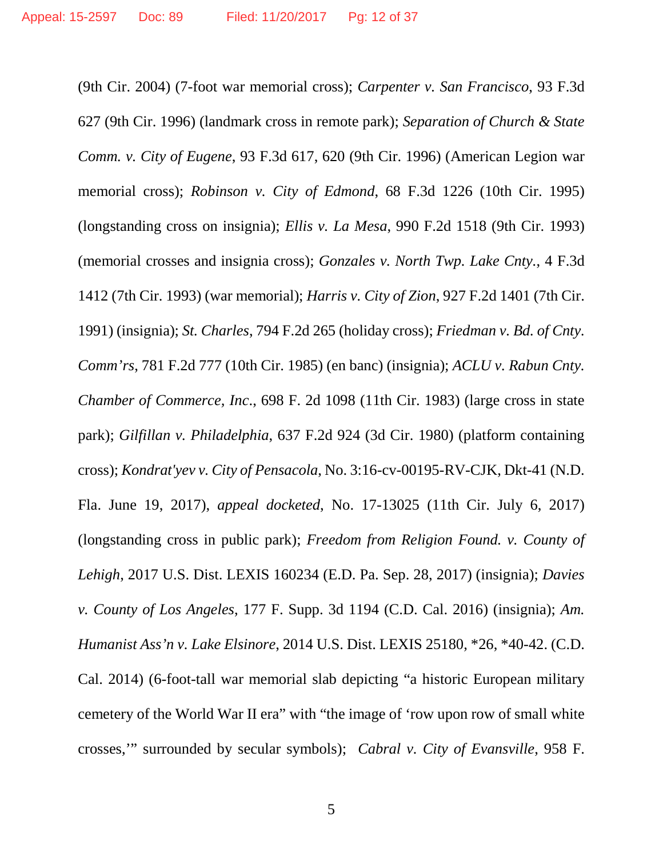(9th Cir. 2004) (7-foot war memorial cross); *Carpenter v. San Francisco*, 93 F.3d 627 (9th Cir. 1996) (landmark cross in remote park); *Separation of Church & State Comm. v. City of Eugene*, 93 F.3d 617, 620 (9th Cir. 1996) (American Legion war memorial cross); *Robinson v. City of Edmond*, 68 F.3d 1226 (10th Cir. 1995) (longstanding cross on insignia); *Ellis v. La Mesa*, 990 F.2d 1518 (9th Cir. 1993) (memorial crosses and insignia cross); *Gonzales v. North Twp. Lake Cnty.*, 4 F.3d 1412 (7th Cir. 1993) (war memorial); *Harris v. City of Zion*, 927 F.2d 1401 (7th Cir. 1991) (insignia); *St. Charles*, 794 F.2d 265 (holiday cross); *Friedman v. Bd. of Cnty. Comm'rs*, 781 F.2d 777 (10th Cir. 1985) (en banc) (insignia); *ACLU v. Rabun Cnty. Chamber of Commerce, Inc*., 698 F. 2d 1098 (11th Cir. 1983) (large cross in state park); *Gilfillan v. Philadelphia*, 637 F.2d 924 (3d Cir. 1980) (platform containing cross); *Kondrat'yev v. City of Pensacola*, No. 3:16-cv-00195-RV-CJK, Dkt-41 (N.D. Fla. June 19, 2017), *appeal docketed*, No. 17-13025 (11th Cir. July 6, 2017) (longstanding cross in public park); *Freedom from Religion Found. v. County of Lehigh*, 2017 U.S. Dist. LEXIS 160234 (E.D. Pa. Sep. 28, 2017) (insignia); *Davies v. County of Los Angeles*, 177 F. Supp. 3d 1194 (C.D. Cal. 2016) (insignia); *Am. Humanist Ass'n v. Lake Elsinore*, 2014 U.S. Dist. LEXIS 25180, \*26, \*40-42. (C.D. Cal. 2014) (6-foot-tall war memorial slab depicting "a historic European military cemetery of the World War II era" with "the image of 'row upon row of small white crosses,'" surrounded by secular symbols); *Cabral v. City of Evansville*, 958 F.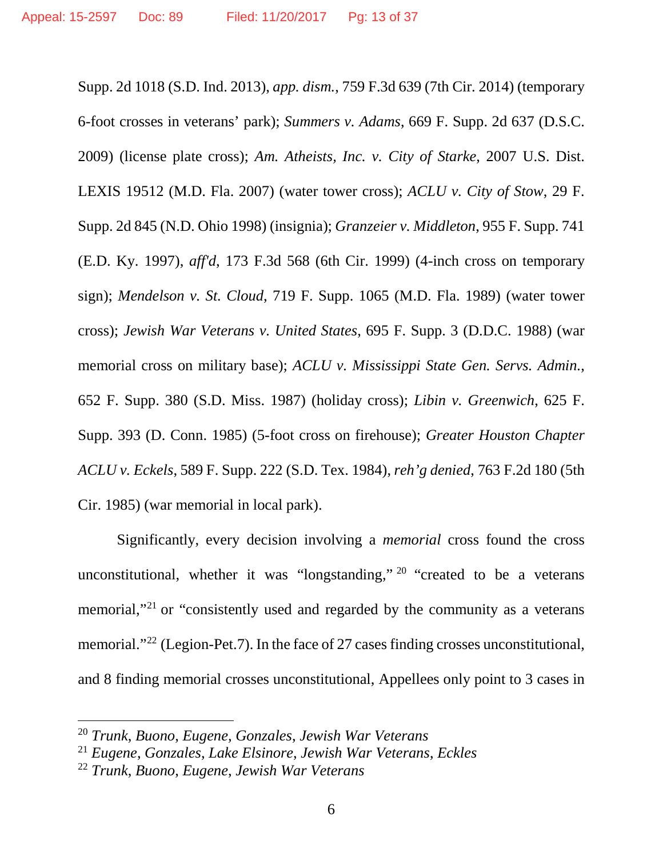Supp. 2d 1018 (S.D. Ind. 2013), *app. dism.*, 759 F.3d 639 (7th Cir. 2014) (temporary 6-foot crosses in veterans' park); *Summers v. Adams*, 669 F. Supp. 2d 637 (D.S.C. 2009) (license plate cross); *Am. Atheists, Inc. v. City of Starke*, 2007 U.S. Dist. LEXIS 19512 (M.D. Fla. 2007) (water tower cross); *ACLU v. City of Stow*, 29 F. Supp. 2d 845 (N.D. Ohio 1998) (insignia); *Granzeier v. Middleton*, 955 F. Supp. 741 (E.D. Ky. 1997), *aff'd*, 173 F.3d 568 (6th Cir. 1999) (4-inch cross on temporary sign); *Mendelson v. St. Cloud*, 719 F. Supp. 1065 (M.D. Fla. 1989) (water tower cross); *Jewish War Veterans v. United States*, 695 F. Supp. 3 (D.D.C. 1988) (war memorial cross on military base); *ACLU v. Mississippi State Gen. Servs. Admin.*, 652 F. Supp. 380 (S.D. Miss. 1987) (holiday cross); *Libin v. Greenwich*, 625 F. Supp. 393 (D. Conn. 1985) (5-foot cross on firehouse); *Greater Houston Chapter ACLU v. Eckels*, 589 F. Supp. 222 (S.D. Tex. 1984), *reh'g denied*, 763 F.2d 180 (5th Cir. 1985) (war memorial in local park).

Significantly, every decision involving a *memorial* cross found the cross unconstitutional, whether it was "longstanding," [20](#page-12-0) "created to be a veterans memorial,"[21](#page-12-1) or "consistently used and regarded by the community as a veterans memorial."[22](#page-12-2) (Legion-Pet.7). In the face of 27 cases finding crosses unconstitutional, and 8 finding memorial crosses unconstitutional, Appellees only point to 3 cases in

<span id="page-12-0"></span> <sup>20</sup> *Trunk*, *Buono*, *Eugene, Gonzales*, *Jewish War Veterans* 

<span id="page-12-1"></span><sup>21</sup> *Eugene*, *Gonzales*, *Lake Elsinore*, *Jewish War Veterans*, *Eckles*

<span id="page-12-2"></span><sup>22</sup> *Trunk*, *Buono*, *Eugene*, *Jewish War Veterans*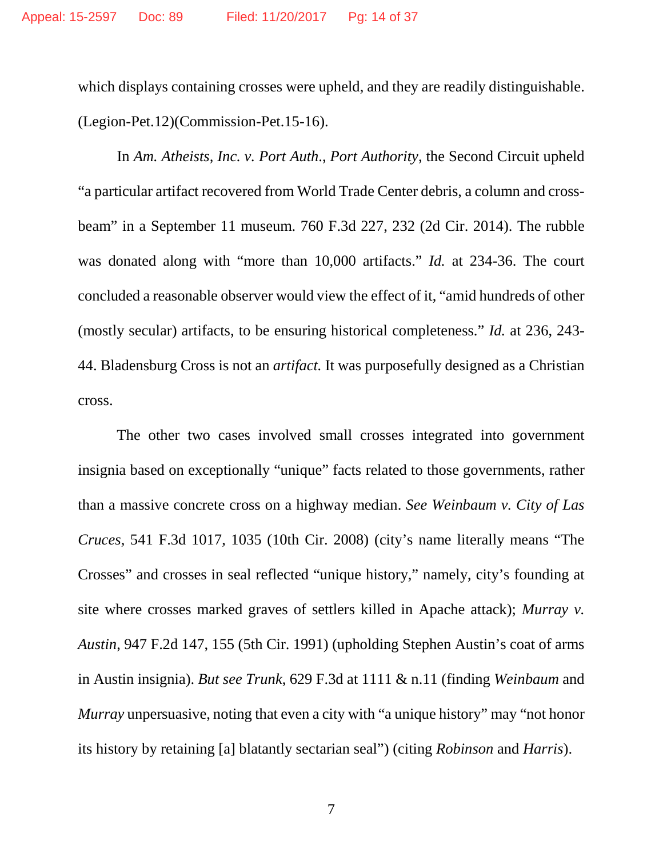which displays containing crosses were upheld, and they are readily distinguishable. (Legion-Pet.12)(Commission-Pet.15-16).

In *Am. Atheists, Inc. v. Port Auth*., *Port Authority*, the Second Circuit upheld "a particular artifact recovered from World Trade Center debris, a column and crossbeam" in a September 11 museum. 760 F.3d 227, 232 (2d Cir. 2014). The rubble was donated along with "more than 10,000 artifacts." *Id.* at 234-36. The court concluded a reasonable observer would view the effect of it, "amid hundreds of other (mostly secular) artifacts, to be ensuring historical completeness." *Id.* at 236, 243- 44. Bladensburg Cross is not an *artifact.* It was purposefully designed as a Christian cross.

The other two cases involved small crosses integrated into government insignia based on exceptionally "unique" facts related to those governments, rather than a massive concrete cross on a highway median. *See Weinbaum v. City of Las Cruces*, 541 F.3d 1017, 1035 (10th Cir. 2008) (city's name literally means "The Crosses" and crosses in seal reflected "unique history," namely, city's founding at site where crosses marked graves of settlers killed in Apache attack); *Murray v. Austin*, 947 F.2d 147, 155 (5th Cir. 1991) (upholding Stephen Austin's coat of arms in Austin insignia). *But see Trunk*, 629 F.3d at 1111 & n.11 (finding *Weinbaum* and *Murray* unpersuasive, noting that even a city with "a unique history" may "not honor its history by retaining [a] blatantly sectarian seal") (citing *Robinson* and *Harris*).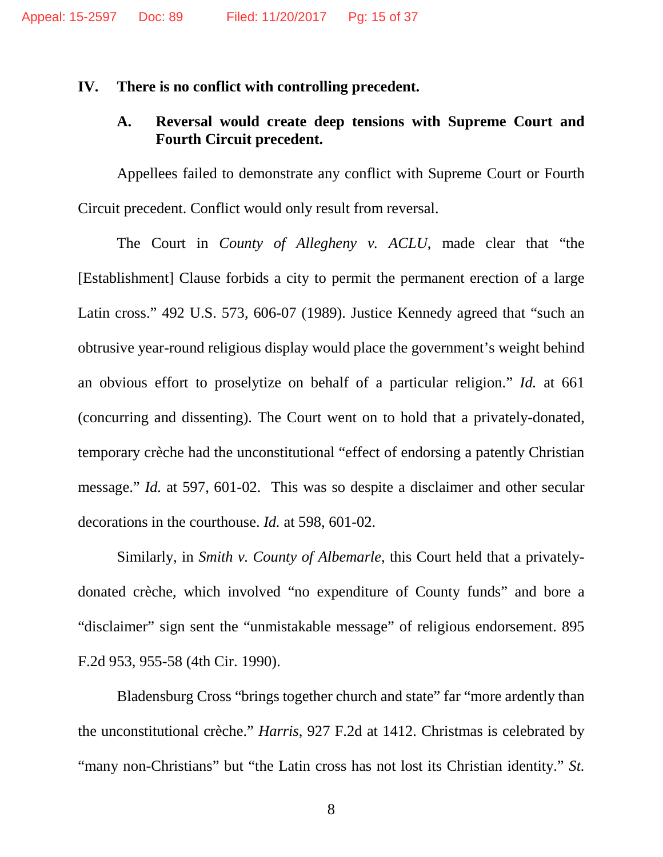#### **IV. There is no conflict with controlling precedent.**

### **A. Reversal would create deep tensions with Supreme Court and Fourth Circuit precedent.**

Appellees failed to demonstrate any conflict with Supreme Court or Fourth Circuit precedent. Conflict would only result from reversal.

The Court in *County of Allegheny v. ACLU*, made clear that "the [Establishment] Clause forbids a city to permit the permanent erection of a large Latin cross." 492 U.S. 573, 606-07 (1989). Justice Kennedy agreed that "such an obtrusive year-round religious display would place the government's weight behind an obvious effort to proselytize on behalf of a particular religion." *Id.* at 661 (concurring and dissenting). The Court went on to hold that a privately-donated, temporary crèche had the unconstitutional "effect of endorsing a patently Christian message." *Id.* at 597, 601-02. This was so despite a disclaimer and other secular decorations in the courthouse. *Id.* at 598, 601-02.

Similarly, in *Smith v. County of Albemarle*, this Court held that a privatelydonated crèche, which involved "no expenditure of County funds" and bore a "disclaimer" sign sent the "unmistakable message" of religious endorsement. 895 F.2d 953, 955-58 (4th Cir. 1990).

Bladensburg Cross "brings together church and state" far "more ardently than the unconstitutional crèche." *Harris*, 927 F.2d at 1412. Christmas is celebrated by "many non-Christians" but "the Latin cross has not lost its Christian identity." *St.*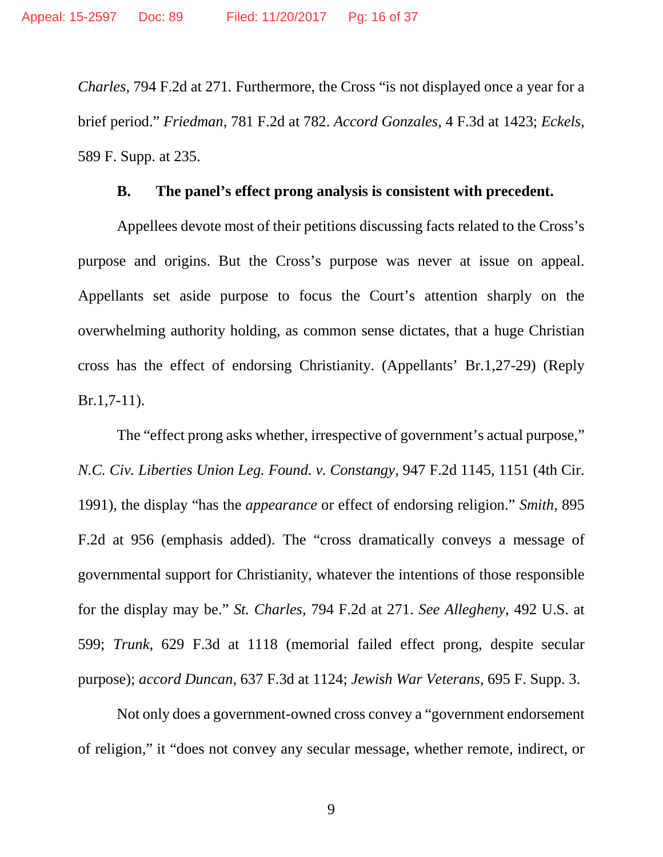*Charles*, 794 F.2d at 271*.* Furthermore, the Cross "is not displayed once a year for a brief period." *Friedman*, 781 F.2d at 782. *Accord Gonzales*, 4 F.3d at 1423; *Eckels*, 589 F. Supp. at 235.

#### **B. The panel's effect prong analysis is consistent with precedent.**

Appellees devote most of their petitions discussing facts related to the Cross's purpose and origins. But the Cross's purpose was never at issue on appeal. Appellants set aside purpose to focus the Court's attention sharply on the overwhelming authority holding, as common sense dictates, that a huge Christian cross has the effect of endorsing Christianity. (Appellants' Br.1,27-29) (Reply Br.1,7-11).

The "effect prong asks whether, irrespective of government's actual purpose," *N.C. Civ. Liberties Union Leg. Found. v. Constangy*, 947 F.2d 1145, 1151 (4th Cir. 1991), the display "has the *appearance* or effect of endorsing religion." *Smith*, 895 F.2d at 956 (emphasis added). The "cross dramatically conveys a message of governmental support for Christianity, whatever the intentions of those responsible for the display may be." *St. Charles*, 794 F.2d at 271. *See Allegheny*, 492 U.S. at 599; *Trunk*, 629 F.3d at 1118 (memorial failed effect prong, despite secular purpose); *accord Duncan*, 637 F.3d at 1124; *Jewish War Veterans*, 695 F. Supp. 3.

Not only does a government-owned cross convey a "government endorsement of religion," it "does not convey any secular message, whether remote, indirect, or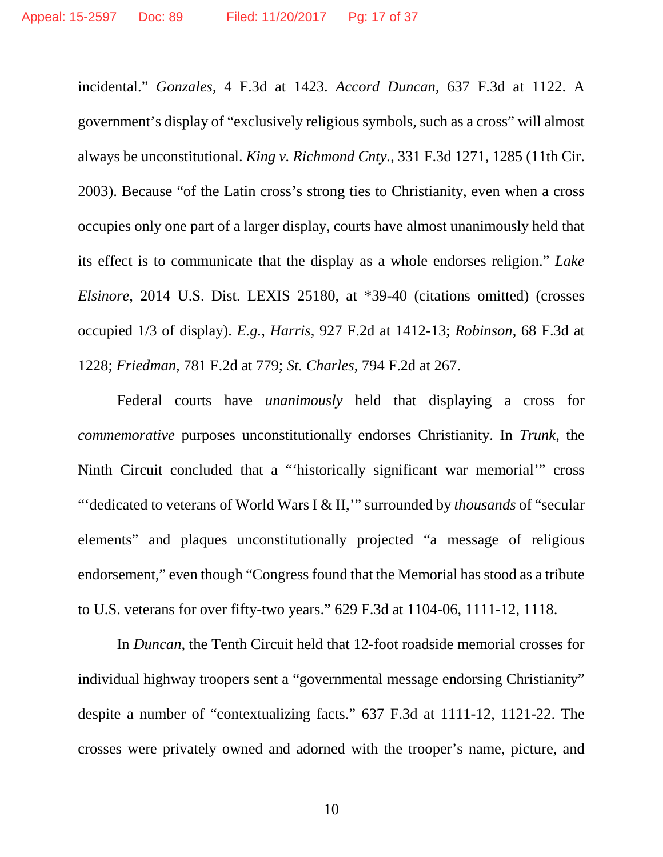incidental." *Gonzales*, 4 F.3d at 1423. *Accord Duncan*, 637 F.3d at 1122. A government's display of "exclusively religious symbols, such as a cross" will almost always be unconstitutional. *King v. Richmond Cnty.*, 331 F.3d 1271, 1285 (11th Cir. 2003). Because "of the Latin cross's strong ties to Christianity, even when a cross occupies only one part of a larger display, courts have almost unanimously held that its effect is to communicate that the display as a whole endorses religion." *Lake Elsinore*, 2014 U.S. Dist. LEXIS 25180, at \*39-40 (citations omitted) (crosses occupied 1/3 of display). *E.g.*, *Harris*, 927 F.2d at 1412-13; *Robinson*, 68 F.3d at 1228; *Friedman*, 781 F.2d at 779; *St. Charles*, 794 F.2d at 267.

Federal courts have *unanimously* held that displaying a cross for *commemorative* purposes unconstitutionally endorses Christianity. In *Trunk*, the Ninth Circuit concluded that a "'historically significant war memorial'" cross "'dedicated to veterans of World Wars I & II,'" surrounded by *thousands* of "secular elements" and plaques unconstitutionally projected "a message of religious endorsement," even though "Congress found that the Memorial has stood as a tribute to U.S. veterans for over fifty-two years." 629 F.3d at 1104-06, 1111-12, 1118.

In *Duncan*, the Tenth Circuit held that 12-foot roadside memorial crosses for individual highway troopers sent a "governmental message endorsing Christianity" despite a number of "contextualizing facts." 637 F.3d at 1111-12, 1121-22. The crosses were privately owned and adorned with the trooper's name, picture, and

10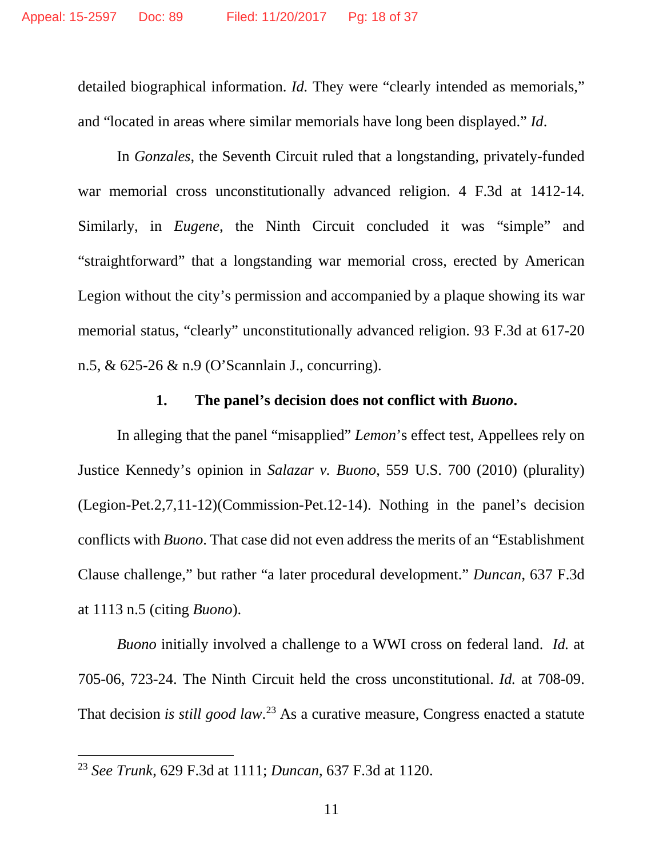detailed biographical information. *Id*. They were "clearly intended as memorials," and "located in areas where similar memorials have long been displayed." *Id*.

In *Gonzales*, the Seventh Circuit ruled that a longstanding, privately-funded war memorial cross unconstitutionally advanced religion. 4 F.3d at 1412-14. Similarly, in *Eugene*, the Ninth Circuit concluded it was "simple" and "straightforward" that a longstanding war memorial cross, erected by American Legion without the city's permission and accompanied by a plaque showing its war memorial status, "clearly" unconstitutionally advanced religion. 93 F.3d at 617-20 n.5, & 625-26 & n.9 (O'Scannlain J., concurring).

### **1. The panel's decision does not conflict with** *Buono***.**

In alleging that the panel "misapplied" *Lemon*'s effect test, Appellees rely on Justice Kennedy's opinion in *Salazar v. Buono*, 559 U.S. 700 (2010) (plurality) (Legion-Pet.2,7,11-12)(Commission-Pet.12-14). Nothing in the panel's decision conflicts with *Buono*. That case did not even address the merits of an "Establishment Clause challenge," but rather "a later procedural development." *Duncan*, 637 F.3d at 1113 n.5 (citing *Buono*).

*Buono* initially involved a challenge to a WWI cross on federal land. *Id.* at 705-06, 723-24. The Ninth Circuit held the cross unconstitutional. *Id.* at 708-09. That decision *is still good law*. [23](#page-17-0) As a curative measure, Congress enacted a statute

<span id="page-17-0"></span> <sup>23</sup> *See Trunk*, 629 F.3d at 1111; *Duncan*, 637 F.3d at 1120.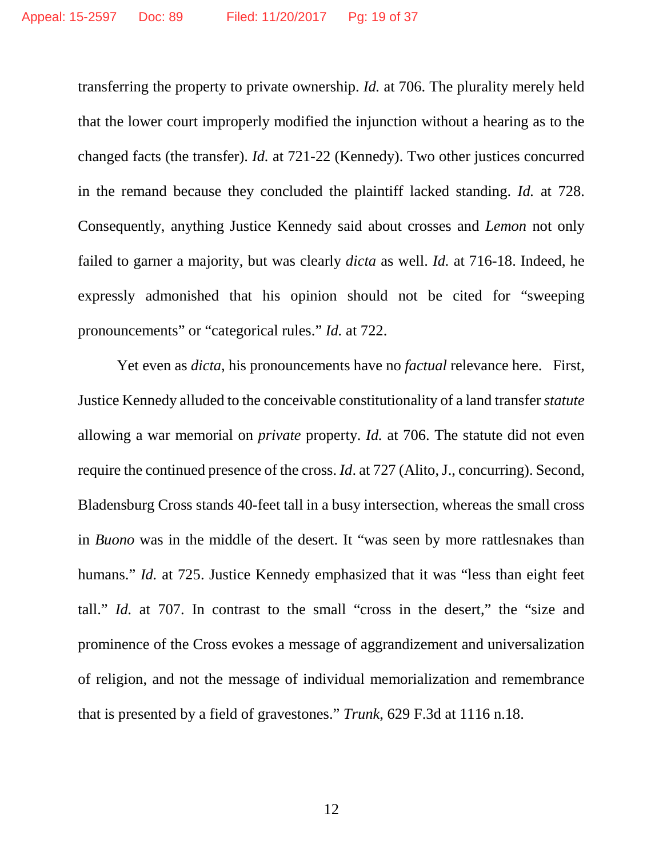transferring the property to private ownership. *Id.* at 706. The plurality merely held that the lower court improperly modified the injunction without a hearing as to the changed facts (the transfer). *Id.* at 721-22 (Kennedy). Two other justices concurred in the remand because they concluded the plaintiff lacked standing. *Id.* at 728. Consequently, anything Justice Kennedy said about crosses and *Lemon* not only failed to garner a majority, but was clearly *dicta* as well. *Id.* at 716-18. Indeed, he expressly admonished that his opinion should not be cited for "sweeping pronouncements" or "categorical rules." *Id.* at 722.

Yet even as *dicta*, his pronouncements have no *factual* relevance here. First, Justice Kennedy alluded to the conceivable constitutionality of a land transfer *statute* allowing a war memorial on *private* property. *Id.* at 706. The statute did not even require the continued presence of the cross. *Id*. at 727 (Alito, J., concurring). Second, Bladensburg Cross stands 40-feet tall in a busy intersection, whereas the small cross in *Buono* was in the middle of the desert. It "was seen by more rattlesnakes than humans." *Id.* at 725. Justice Kennedy emphasized that it was "less than eight feet tall." *Id.* at 707. In contrast to the small "cross in the desert," the "size and prominence of the Cross evokes a message of aggrandizement and universalization of religion, and not the message of individual memorialization and remembrance that is presented by a field of gravestones." *Trunk*, 629 F.3d at 1116 n.18.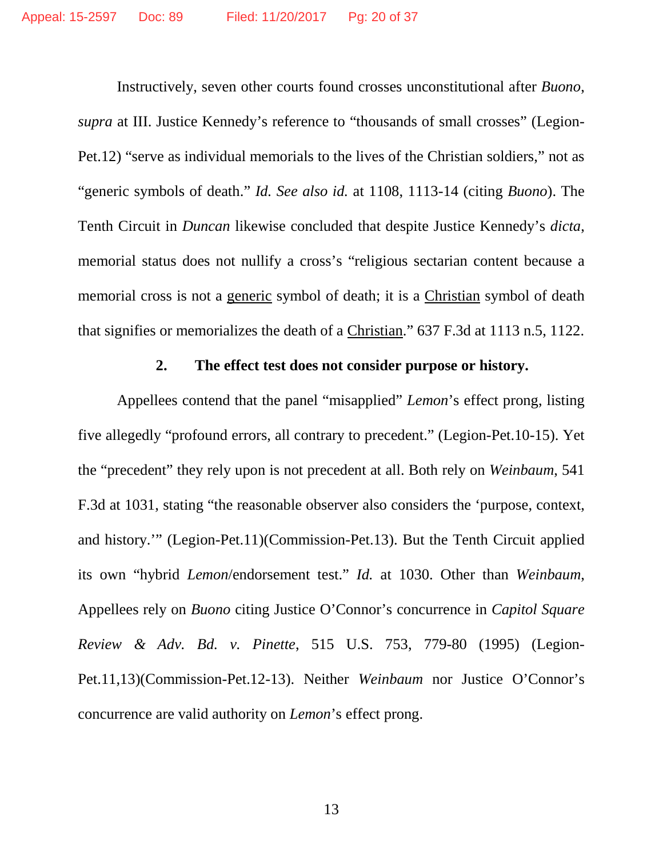Instructively, seven other courts found crosses unconstitutional after *Buono*, *supra* at III. Justice Kennedy's reference to "thousands of small crosses" (Legion-Pet.12) "serve as individual memorials to the lives of the Christian soldiers," not as "generic symbols of death." *Id. See also id.* at 1108, 1113-14 (citing *Buono*). The Tenth Circuit in *Duncan* likewise concluded that despite Justice Kennedy's *dicta*, memorial status does not nullify a cross's "religious sectarian content because a memorial cross is not a generic symbol of death; it is a Christian symbol of death that signifies or memorializes the death of a Christian." 637 F.3d at 1113 n.5, 1122.

### **2. The effect test does not consider purpose or history.**

Appellees contend that the panel "misapplied" *Lemon*'s effect prong, listing five allegedly "profound errors, all contrary to precedent." (Legion-Pet.10-15). Yet the "precedent" they rely upon is not precedent at all. Both rely on *Weinbaum*, 541 F.3d at 1031, stating "the reasonable observer also considers the 'purpose, context, and history.'" (Legion-Pet.11)(Commission-Pet.13). But the Tenth Circuit applied its own "hybrid *Lemon*/endorsement test." *Id.* at 1030. Other than *Weinbaum*, Appellees rely on *Buono* citing Justice O'Connor's concurrence in *Capitol Square Review & Adv. Bd. v. Pinette*, 515 U.S. 753, 779-80 (1995) (Legion-Pet.11,13)(Commission-Pet.12-13). Neither *Weinbaum* nor Justice O'Connor's concurrence are valid authority on *Lemon*'s effect prong.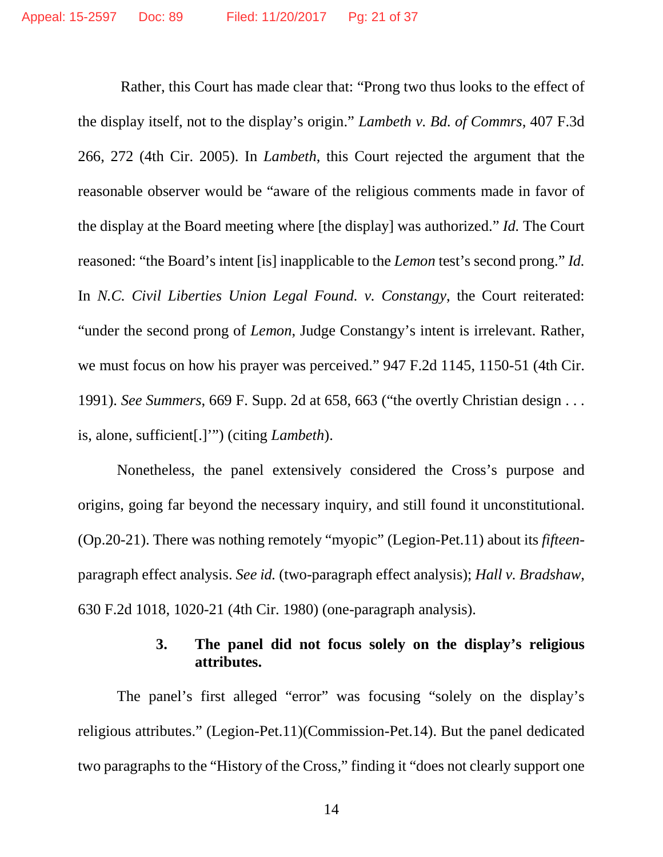Rather, this Court has made clear that: "Prong two thus looks to the effect of the display itself, not to the display's origin." *Lambeth v. Bd. of Commrs*, 407 F.3d 266, 272 (4th Cir. 2005). In *Lambeth*, this Court rejected the argument that the reasonable observer would be "aware of the religious comments made in favor of the display at the Board meeting where [the display] was authorized." *Id.* The Court reasoned: "the Board's intent [is] inapplicable to the *Lemon* test's second prong." *Id.*  In *N.C. Civil Liberties Union Legal Found. v. Constangy*, the Court reiterated: "under the second prong of *Lemon*, Judge Constangy's intent is irrelevant. Rather, we must focus on how his prayer was perceived." 947 F.2d 1145, 1150-51 (4th Cir. 1991). *See Summers*, 669 F. Supp. 2d at 658, 663 ("the overtly Christian design . . . is, alone, sufficient[.]'") (citing *Lambeth*).

Nonetheless, the panel extensively considered the Cross's purpose and origins, going far beyond the necessary inquiry, and still found it unconstitutional. (Op.20-21). There was nothing remotely "myopic" (Legion-Pet.11) about its *fifteen*paragraph effect analysis. *See id.* (two-paragraph effect analysis); *Hall v. Bradshaw*, 630 F.2d 1018, 1020-21 (4th Cir. 1980) (one-paragraph analysis).

### **3. The panel did not focus solely on the display's religious attributes.**

The panel's first alleged "error" was focusing "solely on the display's religious attributes." (Legion-Pet.11)(Commission-Pet.14). But the panel dedicated two paragraphs to the "History of the Cross," finding it "does not clearly support one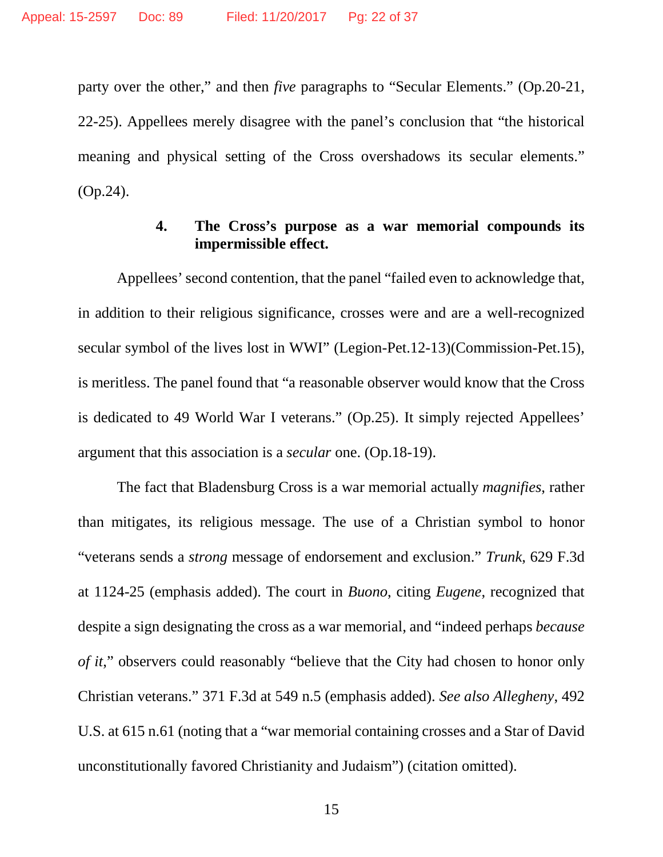party over the other," and then *five* paragraphs to "Secular Elements." (Op.20-21, 22-25). Appellees merely disagree with the panel's conclusion that "the historical meaning and physical setting of the Cross overshadows its secular elements." (Op.24).

#### **4. The Cross's purpose as a war memorial compounds its impermissible effect.**

Appellees' second contention, that the panel "failed even to acknowledge that, in addition to their religious significance, crosses were and are a well-recognized secular symbol of the lives lost in WWI" (Legion-Pet.12-13)(Commission-Pet.15), is meritless. The panel found that "a reasonable observer would know that the Cross is dedicated to 49 World War I veterans." (Op.25). It simply rejected Appellees' argument that this association is a *secular* one. (Op.18-19).

The fact that Bladensburg Cross is a war memorial actually *magnifies*, rather than mitigates, its religious message. The use of a Christian symbol to honor "veterans sends a *strong* message of endorsement and exclusion." *Trunk*, 629 F.3d at 1124-25 (emphasis added). The court in *Buono*, citing *Eugene*, recognized that despite a sign designating the cross as a war memorial, and "indeed perhaps *because of it*," observers could reasonably "believe that the City had chosen to honor only Christian veterans." 371 F.3d at 549 n.5 (emphasis added). *See also Allegheny*, 492 U.S. at 615 n.61 (noting that a "war memorial containing crosses and a Star of David unconstitutionally favored Christianity and Judaism") (citation omitted).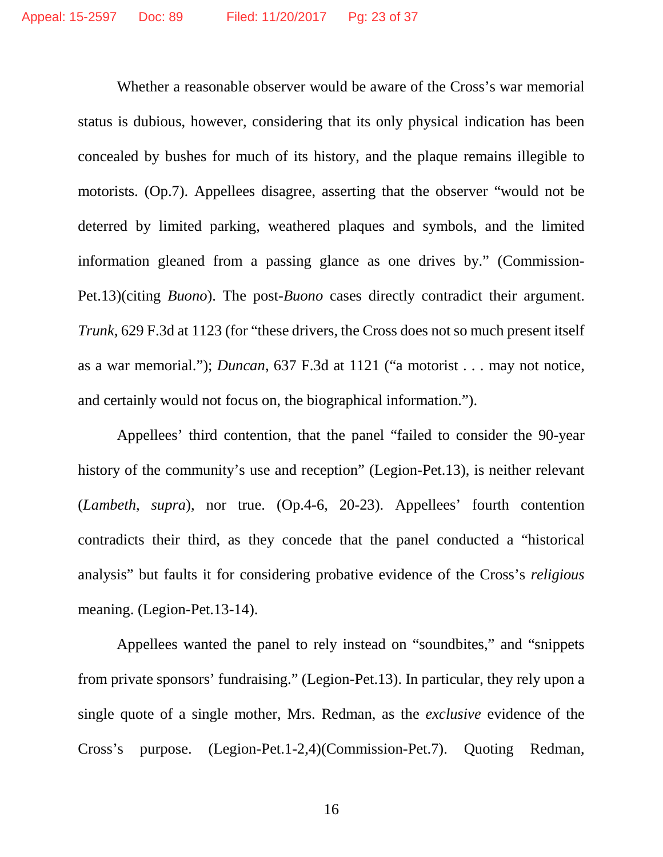Whether a reasonable observer would be aware of the Cross's war memorial status is dubious, however, considering that its only physical indication has been concealed by bushes for much of its history, and the plaque remains illegible to motorists. (Op.7). Appellees disagree, asserting that the observer "would not be deterred by limited parking, weathered plaques and symbols, and the limited information gleaned from a passing glance as one drives by." (Commission-Pet.13)(citing *Buono*). The post-*Buono* cases directly contradict their argument. *Trunk*, 629 F.3d at 1123 (for "these drivers, the Cross does not so much present itself as a war memorial."); *Duncan*, 637 F.3d at 1121 ("a motorist . . . may not notice, and certainly would not focus on, the biographical information.").

Appellees' third contention, that the panel "failed to consider the 90-year history of the community's use and reception" (Legion-Pet.13), is neither relevant (*Lambeth*, *supra*), nor true. (Op.4-6, 20-23). Appellees' fourth contention contradicts their third, as they concede that the panel conducted a "historical analysis" but faults it for considering probative evidence of the Cross's *religious* meaning. (Legion-Pet.13-14).

Appellees wanted the panel to rely instead on "soundbites," and "snippets from private sponsors' fundraising." (Legion-Pet.13). In particular, they rely upon a single quote of a single mother, Mrs. Redman, as the *exclusive* evidence of the Cross's purpose. (Legion-Pet.1-2,4)(Commission-Pet.7). Quoting Redman,

16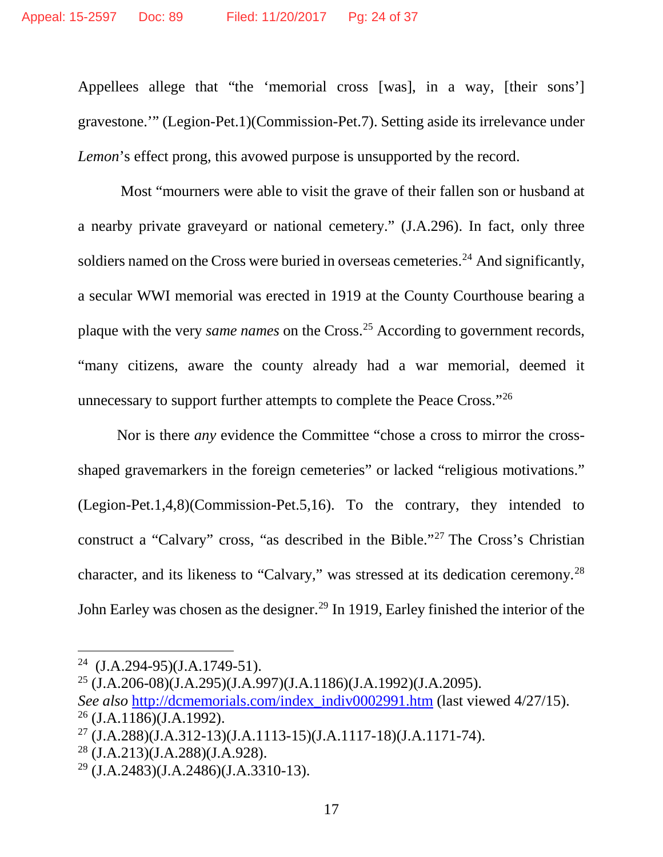Appellees allege that "the 'memorial cross [was], in a way, [their sons'] gravestone.'" (Legion-Pet.1)(Commission-Pet.7). Setting aside its irrelevance under *Lemon*'s effect prong, this avowed purpose is unsupported by the record.

Most "mourners were able to visit the grave of their fallen son or husband at a nearby private graveyard or national cemetery." (J.A.296). In fact, only three soldiers named on the Cross were buried in overseas cemeteries.<sup>[24](#page-23-0)</sup> And significantly, a secular WWI memorial was erected in 1919 at the County Courthouse bearing a plaque with the very *same names* on the Cross. [25](#page-23-1) According to government records, "many citizens, aware the county already had a war memorial, deemed it unnecessary to support further attempts to complete the Peace Cross.["26](#page-23-2)

Nor is there *any* evidence the Committee "chose a cross to mirror the crossshaped gravemarkers in the foreign cemeteries" or lacked "religious motivations." (Legion-Pet.1,4,8)(Commission-Pet.5,16). To the contrary, they intended to construct a "Calvary" cross, "as described in the Bible."[27](#page-23-3) The Cross's Christian character, and its likeness to "Calvary," was stressed at its dedication ceremony.<sup>[28](#page-23-4)</sup> John Earley was chosen as the designer.<sup>[29](#page-23-5)</sup> In 1919, Earley finished the interior of the

<span id="page-23-0"></span> <sup>24</sup> (J.A.294-95)(J.A.1749-51).

<span id="page-23-1"></span><sup>25</sup> (J.A.206-08)(J.A.295)(J.A.997)(J.A.1186)(J.A.1992)(J.A.2095).

<span id="page-23-2"></span>*See also* [http://dcmemorials.com/index\\_indiv0002991.htm](http://dcmemorials.com/index_indiv0002991.htm) (last viewed 4/27/15).  $26$  (J.A.1186)(J.A.1992).

<span id="page-23-3"></span> $^{27}$  (J.A.288)(J.A.312-13)(J.A.1113-15)(J.A.1117-18)(J.A.1171-74).

<span id="page-23-4"></span><sup>28</sup> (J.A.213)(J.A.288)(J.A.928).

<span id="page-23-5"></span><sup>29</sup> (J.A.2483)(J.A.2486)(J.A.3310-13).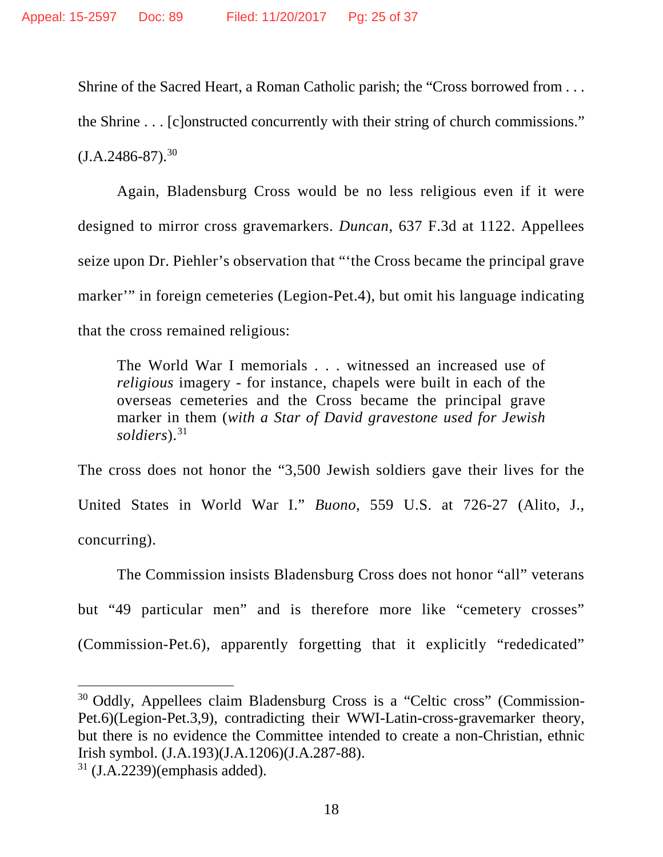Shrine of the Sacred Heart, a Roman Catholic parish; the "Cross borrowed from . . . the Shrine . . . [c]onstructed concurrently with their string of church commissions."  $(J.A.2486-87).^{30}$  $(J.A.2486-87).^{30}$  $(J.A.2486-87).^{30}$ 

Again, Bladensburg Cross would be no less religious even if it were designed to mirror cross gravemarkers. *Duncan*, 637 F.3d at 1122. Appellees seize upon Dr. Piehler's observation that "'the Cross became the principal grave marker'" in foreign cemeteries (Legion-Pet.4), but omit his language indicating that the cross remained religious:

The World War I memorials . . . witnessed an increased use of *religious* imagery - for instance, chapels were built in each of the overseas cemeteries and the Cross became the principal grave marker in them (*with a Star of David gravestone used for Jewish soldiers*).[31](#page-24-1)

The cross does not honor the "3,500 Jewish soldiers gave their lives for the United States in World War I." *Buono*, 559 U.S. at 726-27 (Alito, J., concurring).

The Commission insists Bladensburg Cross does not honor "all" veterans but "49 particular men" and is therefore more like "cemetery crosses" (Commission-Pet.6), apparently forgetting that it explicitly "rededicated"

<span id="page-24-0"></span> <sup>30</sup> Oddly, Appellees claim Bladensburg Cross is a "Celtic cross" (Commission-Pet.6)(Legion-Pet.3,9), contradicting their WWI-Latin-cross-gravemarker theory, but there is no evidence the Committee intended to create a non-Christian, ethnic Irish symbol. (J.A.193)(J.A.1206)(J.A.287-88).

<span id="page-24-1"></span> $31$  (J.A.2239)(emphasis added).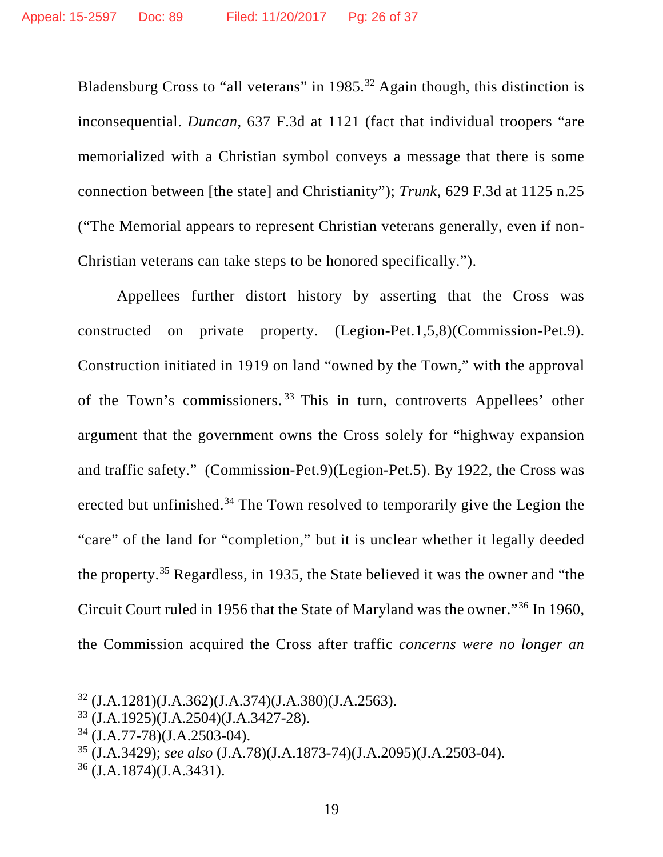Bladensburg Cross to "all veterans" in  $1985.<sup>32</sup>$  $1985.<sup>32</sup>$  $1985.<sup>32</sup>$  Again though, this distinction is inconsequential. *Duncan*, 637 F.3d at 1121 (fact that individual troopers "are memorialized with a Christian symbol conveys a message that there is some connection between [the state] and Christianity"); *Trunk*, 629 F.3d at 1125 n.25 ("The Memorial appears to represent Christian veterans generally, even if non-Christian veterans can take steps to be honored specifically.").

Appellees further distort history by asserting that the Cross was constructed on private property. (Legion-Pet.1,5,8)(Commission-Pet.9). Construction initiated in 1919 on land "owned by the Town," with the approval of the Town's commissioners. [33](#page-25-1) This in turn, controverts Appellees' other argument that the government owns the Cross solely for "highway expansion and traffic safety." (Commission-Pet.9)(Legion-Pet.5). By 1922, the Cross was erected but unfinished.<sup>[34](#page-25-2)</sup> The Town resolved to temporarily give the Legion the "care" of the land for "completion," but it is unclear whether it legally deeded the property.[35](#page-25-3) Regardless, in 1935, the State believed it was the owner and "the Circuit Court ruled in 1956 that the State of Maryland was the owner."[36](#page-25-4) In 1960, the Commission acquired the Cross after traffic *concerns were no longer an* 

<span id="page-25-0"></span> <sup>32</sup> (J.A.1281)(J.A.362)(J.A.374)(J.A.380)(J.A.2563).

<span id="page-25-1"></span><sup>33</sup> (J.A.1925)(J.A.2504)(J.A.3427-28).

<span id="page-25-2"></span><sup>34</sup> (J.A.77-78)(J.A.2503-04).

<span id="page-25-3"></span><sup>35</sup> (J.A.3429); *see also* (J.A.78)(J.A.1873-74)(J.A.2095)(J.A.2503-04).

<span id="page-25-4"></span><sup>36</sup> (J.A.1874)(J.A.3431).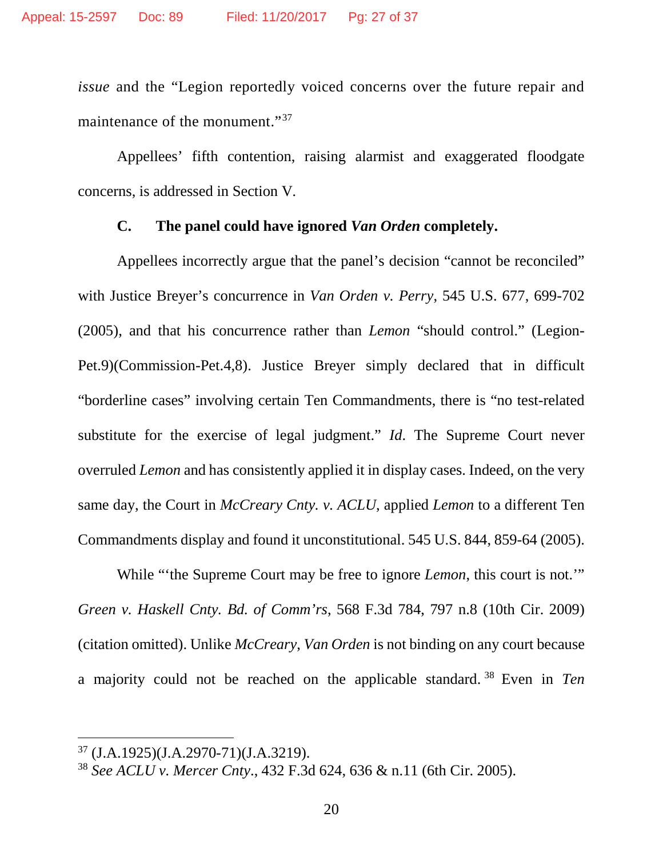*issue* and the "Legion reportedly voiced concerns over the future repair and maintenance of the monument."<sup>37</sup>

Appellees' fifth contention, raising alarmist and exaggerated floodgate concerns, is addressed in Section V*.* 

#### **C. The panel could have ignored** *Van Orden* **completely.**

Appellees incorrectly argue that the panel's decision "cannot be reconciled" with Justice Breyer's concurrence in *Van Orden v. Perry*, 545 U.S. 677, 699-702 (2005), and that his concurrence rather than *Lemon* "should control." (Legion-Pet.9)(Commission-Pet.4,8). Justice Breyer simply declared that in difficult "borderline cases" involving certain Ten Commandments, there is "no test-related substitute for the exercise of legal judgment." *Id*. The Supreme Court never overruled *Lemon* and has consistently applied it in display cases. Indeed, on the very same day, the Court in *McCreary Cnty. v. ACLU*, applied *Lemon* to a different Ten Commandments display and found it unconstitutional. 545 U.S. 844, 859-64 (2005).

While "'the Supreme Court may be free to ignore *Lemon*, this court is not.'" *Green v. Haskell Cnty. Bd. of Comm'rs*, 568 F.3d 784, 797 n.8 (10th Cir. 2009) (citation omitted). Unlike *McCreary*, *Van Orden* is not binding on any court because a majority could not be reached on the applicable standard. [38](#page-26-1) Even in *Ten* 

<span id="page-26-0"></span> <sup>37</sup> (J.A.1925)(J.A.2970-71)(J.A.3219).

<span id="page-26-1"></span><sup>38</sup> *See ACLU v. Mercer Cnty*., 432 F.3d 624, 636 & n.11 (6th Cir. 2005).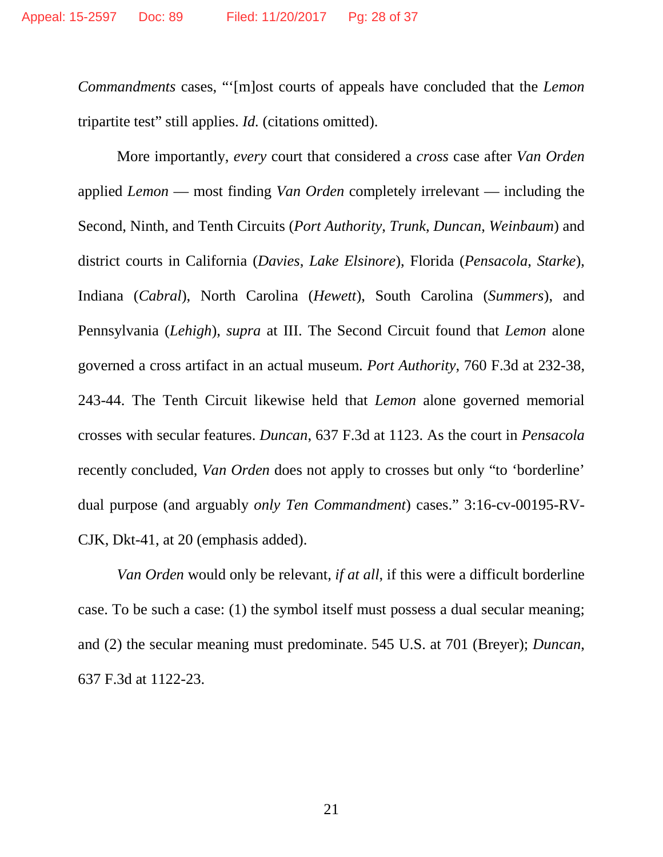*Commandments* cases, "'[m]ost courts of appeals have concluded that the *Lemon* tripartite test" still applies. *Id.* (citations omitted).

More importantly, *every* court that considered a *cross* case after *Van Orden* applied *Lemon* — most finding *Van Orden* completely irrelevant — including the Second, Ninth, and Tenth Circuits (*Port Authority*, *Trunk*, *Duncan*, *Weinbaum*) and district courts in California (*Davies*, *Lake Elsinore*), Florida (*Pensacola*, *Starke*), Indiana (*Cabral*), North Carolina (*Hewett*), South Carolina (*Summers*), and Pennsylvania (*Lehigh*), *supra* at III. The Second Circuit found that *Lemon* alone governed a cross artifact in an actual museum. *Port Authority*, 760 F.3d at 232-38, 243-44. The Tenth Circuit likewise held that *Lemon* alone governed memorial crosses with secular features. *Duncan*, 637 F.3d at 1123. As the court in *Pensacola*  recently concluded, *Van Orden* does not apply to crosses but only "to 'borderline' dual purpose (and arguably *only Ten Commandment*) cases." 3:16-cv-00195-RV-CJK, Dkt-41, at 20 (emphasis added).

*Van Orden* would only be relevant, *if at all*, if this were a difficult borderline case. To be such a case: (1) the symbol itself must possess a dual secular meaning; and (2) the secular meaning must predominate. 545 U.S. at 701 (Breyer); *Duncan*, 637 F.3d at 1122-23.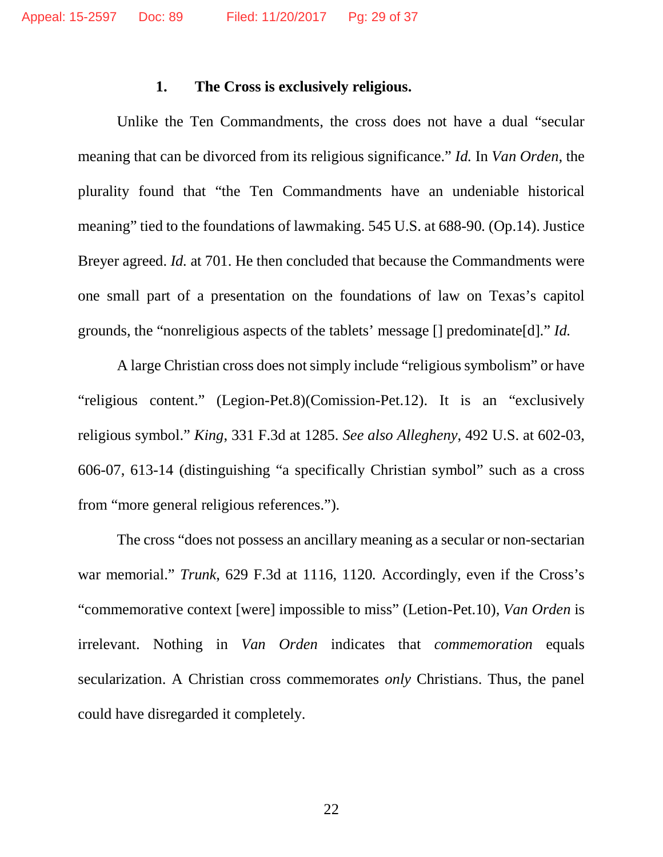#### **1. The Cross is exclusively religious.**

Unlike the Ten Commandments, the cross does not have a dual "secular meaning that can be divorced from its religious significance." *Id.* In *Van Orden*, the plurality found that "the Ten Commandments have an undeniable historical meaning" tied to the foundations of lawmaking. 545 U.S. at 688-90*.* (Op.14). Justice Breyer agreed. *Id.* at 701. He then concluded that because the Commandments were one small part of a presentation on the foundations of law on Texas's capitol grounds, the "nonreligious aspects of the tablets' message [] predominate[d]." *Id.*

A large Christian cross does not simply include "religious symbolism" or have "religious content." (Legion-Pet.8)(Comission-Pet.12). It is an "exclusively religious symbol." *King*, 331 F.3d at 1285. *See also Allegheny*, 492 U.S. at 602-03, 606-07, 613-14 (distinguishing "a specifically Christian symbol" such as a cross from "more general religious references.").

The cross "does not possess an ancillary meaning as a secular or non-sectarian war memorial." *Trunk*, 629 F.3d at 1116, 1120*.* Accordingly, even if the Cross's "commemorative context [were] impossible to miss" (Letion-Pet.10), *Van Orden* is irrelevant. Nothing in *Van Orden* indicates that *commemoration* equals secularization. A Christian cross commemorates *only* Christians. Thus, the panel could have disregarded it completely.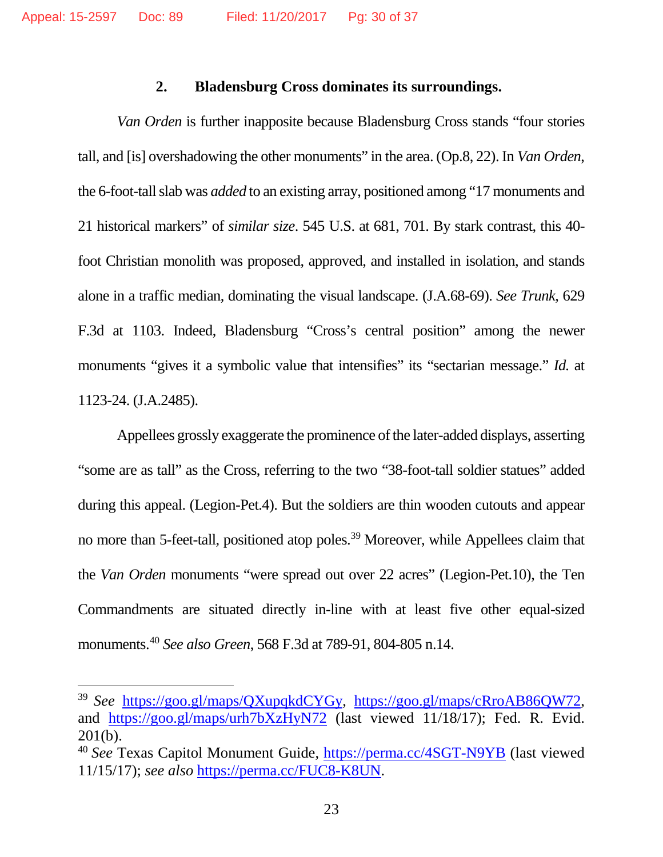#### **2. Bladensburg Cross dominates its surroundings.**

*Van Orden* is further inapposite because Bladensburg Cross stands "four stories tall, and [is] overshadowing the other monuments" in the area. (Op.8, 22). In *Van Orden*, the 6-foot-tall slab was *added* to an existing array, positioned among "17 monuments and 21 historical markers" of *similar size*. 545 U.S. at 681, 701. By stark contrast, this 40 foot Christian monolith was proposed, approved, and installed in isolation, and stands alone in a traffic median, dominating the visual landscape. (J.A.68-69). *See Trunk*, 629 F.3d at 1103. Indeed, Bladensburg "Cross's central position" among the newer monuments "gives it a symbolic value that intensifies" its "sectarian message." *Id.* at 1123-24. (J.A.2485).

Appellees grossly exaggerate the prominence of the later-added displays, asserting "some are as tall" as the Cross, referring to the two "38-foot-tall soldier statues" added during this appeal. (Legion-Pet.4). But the soldiers are thin wooden cutouts and appear no more than 5-feet-tall, positioned atop poles.<sup>39</sup> Moreover, while Appellees claim that the *Van Orden* monuments "were spread out over 22 acres" (Legion-Pet.10), the Ten Commandments are situated directly in-line with at least five other equal-sized monuments. [40](#page-29-1) *See also Green*, 568 F.3d at 789-91, 804-805 n.14.

<span id="page-29-0"></span> <sup>39</sup> *See* [https://goo.gl/maps/QXupqkdCYGy,](https://goo.gl/maps/QXupqkdCYGy) [https://goo.gl/maps/cRroAB86QW72,](https://goo.gl/maps/cRroAB86QW72) and <https://goo.gl/maps/urh7bXzHyN72> (last viewed 11/18/17); Fed. R. Evid. 201(b).

<span id="page-29-1"></span><sup>40</sup> *See* Texas Capitol Monument Guide,<https://perma.cc/4SGT-N9YB> (last viewed 11/15/17); *see also* [https://perma.cc/FUC8-K8UN.](https://perma.cc/FUC8-K8UN)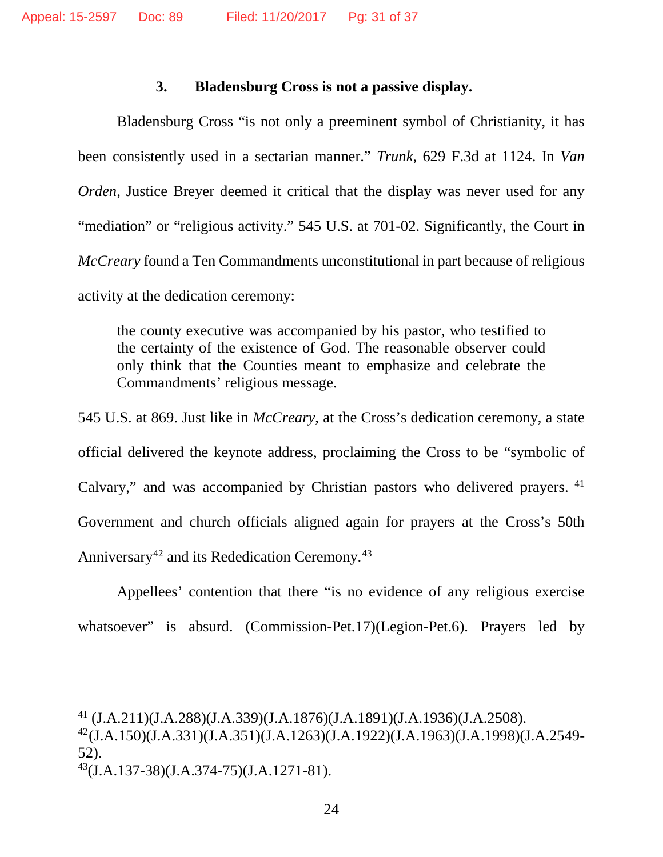#### **3. Bladensburg Cross is not a passive display.**

Bladensburg Cross "is not only a preeminent symbol of Christianity, it has been consistently used in a sectarian manner." *Trunk*, 629 F.3d at 1124. In *Van Orden*, Justice Breyer deemed it critical that the display was never used for any "mediation" or "religious activity." 545 U.S. at 701-02. Significantly, the Court in *McCreary* found a Ten Commandments unconstitutional in part because of religious activity at the dedication ceremony:

the county executive was accompanied by his pastor, who testified to the certainty of the existence of God. The reasonable observer could only think that the Counties meant to emphasize and celebrate the Commandments' religious message.

545 U.S. at 869. Just like in *McCreary*, at the Cross's dedication ceremony, a state official delivered the keynote address, proclaiming the Cross to be "symbolic of Calvary," and was accompanied by Christian pastors who delivered prayers. <sup>[41](#page-30-0)</sup> Government and church officials aligned again for prayers at the Cross's 50th Anniversary<sup>[42](#page-30-1)</sup> and its Rededication Ceremony.<sup>[43](#page-30-2)</sup>

Appellees' contention that there "is no evidence of any religious exercise whatsoever" is absurd. (Commission-Pet.17)(Legion-Pet.6). Prayers led by

<span id="page-30-0"></span> <sup>41</sup> (J.A.211)(J.A.288)(J.A.339)(J.A.1876)(J.A.1891)(J.A.1936)(J.A.2508).

<span id="page-30-1"></span><sup>42(</sup>J.A.150)(J.A.331)(J.A.351)(J.A.1263)(J.A.1922)(J.A.1963)(J.A.1998)(J.A.2549- 52).

<span id="page-30-2"></span> $^{43}$ (J.A.137-38)(J.A.374-75)(J.A.1271-81).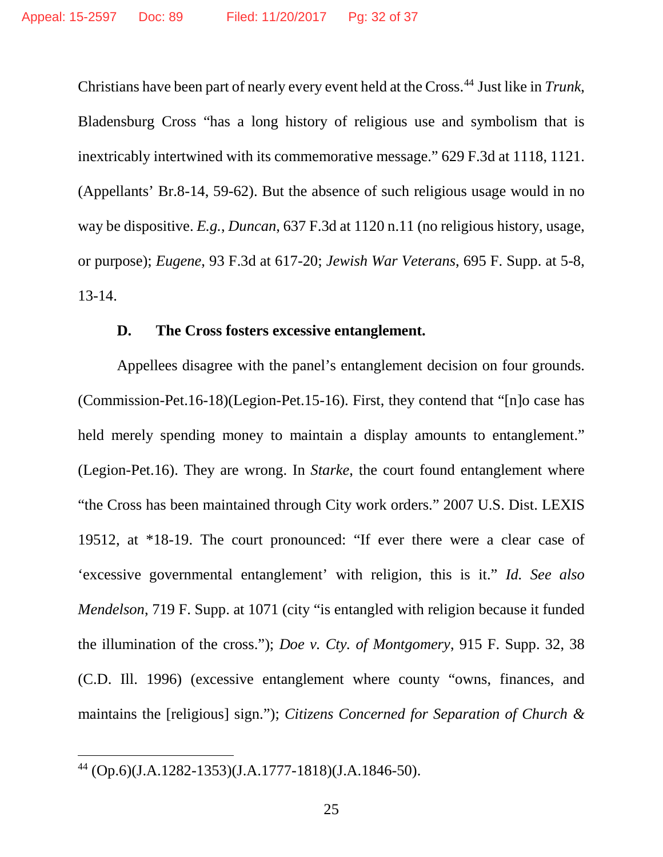Christians have been part of nearly every event held at the Cross.[44](#page-31-0) Just like in *Trunk*, Bladensburg Cross "has a long history of religious use and symbolism that is inextricably intertwined with its commemorative message." 629 F.3d at 1118, 1121. (Appellants' Br.8-14, 59-62). But the absence of such religious usage would in no way be dispositive. *E.g.*, *Duncan*, 637 F.3d at 1120 n.11 (no religious history, usage, or purpose); *Eugene*, 93 F.3d at 617-20; *Jewish War Veterans*, 695 F. Supp. at 5-8, 13-14.

### **D. The Cross fosters excessive entanglement.**

Appellees disagree with the panel's entanglement decision on four grounds. (Commission-Pet.16-18)(Legion-Pet.15-16). First, they contend that "[n]o case has held merely spending money to maintain a display amounts to entanglement." (Legion-Pet.16). They are wrong. In *Starke*, the court found entanglement where "the Cross has been maintained through City work orders." 2007 U.S. Dist. LEXIS 19512, at \*18-19. The court pronounced: "If ever there were a clear case of 'excessive governmental entanglement' with religion, this is it." *Id. See also Mendelson*, 719 F. Supp. at 1071 (city "is entangled with religion because it funded the illumination of the cross."); *Doe v. Cty. of Montgomery*, 915 F. Supp. 32, 38 (C.D. Ill. 1996) (excessive entanglement where county "owns, finances, and maintains the [religious] sign."); *Citizens Concerned for Separation of Church &* 

<span id="page-31-0"></span> <sup>44</sup> (Op.6)(J.A.1282-1353)(J.A.1777-1818)(J.A.1846-50).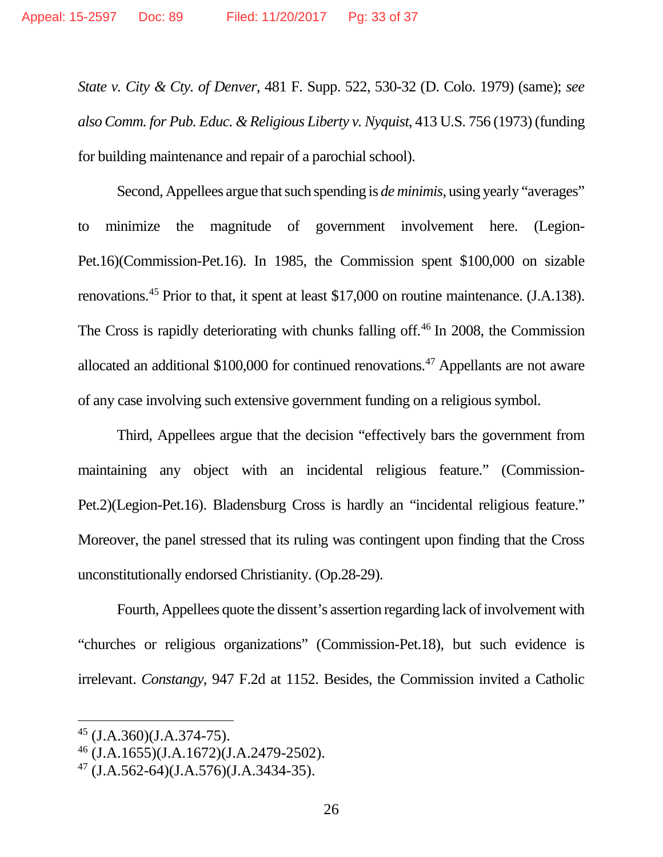*State v. City & Cty. of Denver*, 481 F. Supp. 522, 530-32 (D. Colo. 1979) (same); *see also Comm. for Pub. Educ. & Religious Liberty v. Nyquist*, 413 U.S. 756 (1973) (funding for building maintenance and repair of a parochial school).

Second, Appellees argue that such spending is *de minimis*, using yearly "averages" to minimize the magnitude of government involvement here. (Legion-Pet.16)(Commission-Pet.16). In 1985, the Commission spent \$100,000 on sizable renovations.[45](#page-32-0) Prior to that, it spent at least \$17,000 on routine maintenance. (J.A.138). The Cross is rapidly deteriorating with chunks falling off.<sup>[46](#page-32-1)</sup> In 2008, the Commission allocated an additional \$100,000 for continued renovations. [47](#page-32-2) Appellants are not aware of any case involving such extensive government funding on a religious symbol.

Third, Appellees argue that the decision "effectively bars the government from maintaining any object with an incidental religious feature." (Commission-Pet.2)(Legion-Pet.16). Bladensburg Cross is hardly an "incidental religious feature." Moreover, the panel stressed that its ruling was contingent upon finding that the Cross unconstitutionally endorsed Christianity. (Op.28-29).

Fourth, Appellees quote the dissent's assertion regarding lack of involvement with "churches or religious organizations" (Commission-Pet.18), but such evidence is irrelevant. *Constangy*, 947 F.2d at 1152. Besides, the Commission invited a Catholic

<span id="page-32-0"></span> $45$  (J.A.360)(J.A.374-75).

<span id="page-32-1"></span><sup>46</sup> (J.A.1655)(J.A.1672)(J.A.2479-2502).

<span id="page-32-2"></span> $47$  (J.A.562-64)(J.A.576)(J.A.3434-35).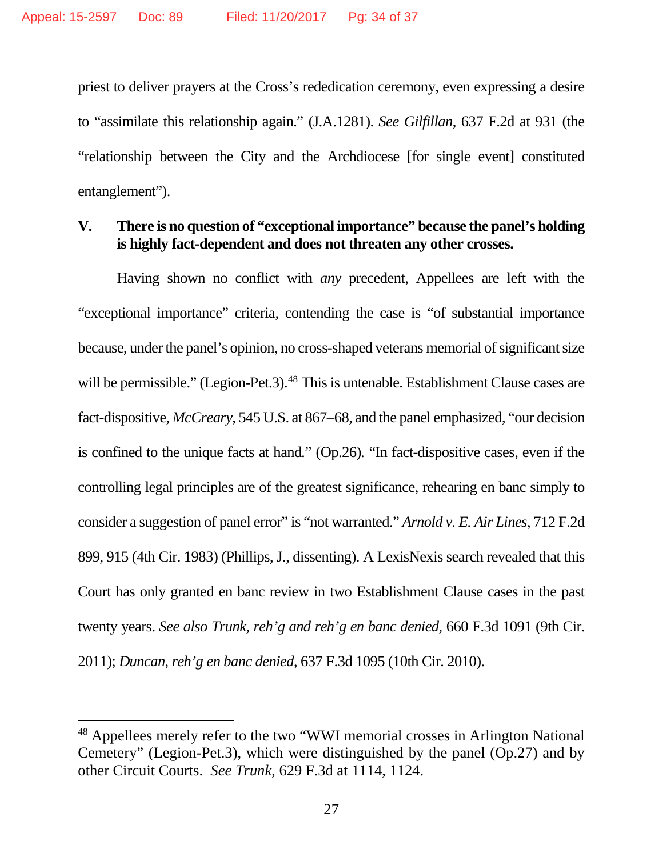priest to deliver prayers at the Cross's rededication ceremony, even expressing a desire to "assimilate this relationship again." (J.A.1281). *See Gilfillan*, 637 F.2d at 931 (the "relationship between the City and the Archdiocese [for single event] constituted entanglement").

#### **V. There is no question of "exceptional importance" because the panel's holding is highly fact-dependent and does not threaten any other crosses.**

Having shown no conflict with *any* precedent, Appellees are left with the "exceptional importance" criteria, contending the case is "of substantial importance because, under the panel's opinion, no cross-shaped veterans memorial of significant size will be permissible." (Legion-Pet.3).<sup>[48](#page-33-0)</sup> This is untenable. Establishment Clause cases are fact-dispositive, *McCreary*, 545 U.S. at 867–68, and the panel emphasized, "our decision is confined to the unique facts at hand*.*" (Op.26)*.* "In fact-dispositive cases, even if the controlling legal principles are of the greatest significance, rehearing en banc simply to consider a suggestion of panel error" is "not warranted." *Arnold v. E. Air Lines*, 712 F.2d 899, 915 (4th Cir. 1983) (Phillips, J., dissenting). A LexisNexis search revealed that this Court has only granted en banc review in two Establishment Clause cases in the past twenty years. *See also Trunk*, *reh'g and reh'g en banc denied*, 660 F.3d 1091 (9th Cir. 2011); *Duncan*, *reh'g en banc denied*, 637 F.3d 1095 (10th Cir. 2010).

<span id="page-33-0"></span> <sup>48</sup> Appellees merely refer to the two "WWI memorial crosses in Arlington National Cemetery" (Legion-Pet.3), which were distinguished by the panel (Op.27) and by other Circuit Courts. *See Trunk*, 629 F.3d at 1114, 1124.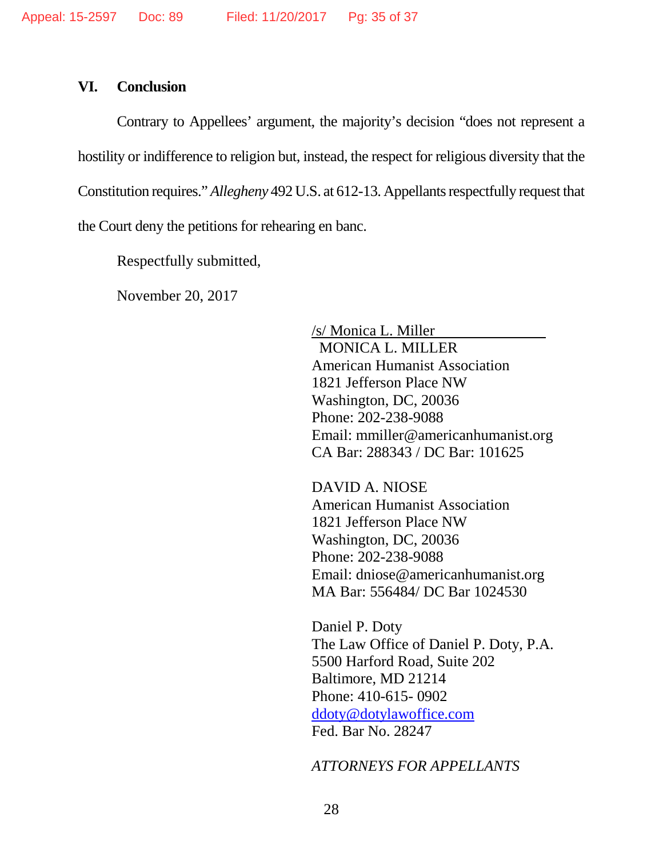#### **VI. Conclusion**

Contrary to Appellees' argument, the majority's decision "does not represent a hostility or indifference to religion but, instead, the respect for religious diversity that the Constitution requires." *Allegheny* 492 U.S. at 612-13. Appellants respectfully request that the Court deny the petitions for rehearing en banc.

Respectfully submitted,

November 20, 2017

/s/ Monica L. Miller MONICA L. MILLER American Humanist Association 1821 Jefferson Place NW Washington, DC, 20036 Phone: 202-238-9088 Email: mmiller@americanhumanist.org CA Bar: 288343 / DC Bar: 101625

DAVID A. NIOSE American Humanist Association 1821 Jefferson Place NW Washington, DC, 20036 Phone: 202-238-9088 Email: dniose@americanhumanist.org MA Bar: 556484/ DC Bar 1024530

Daniel P. Doty The Law Office of Daniel P. Doty, P.A. 5500 Harford Road, Suite 202 Baltimore, MD 21214 Phone: 410-615- 0902 [ddoty@dotylawoffice.com](mailto:ddoty@dotylawoffice.com) Fed. Bar No. 28247

#### *ATTORNEYS FOR APPELLANTS*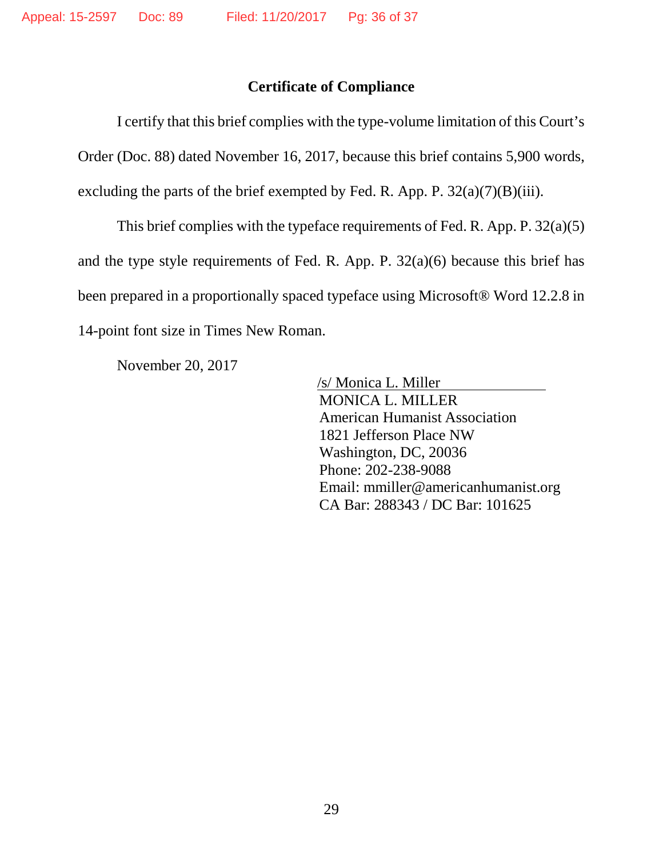### **Certificate of Compliance**

I certify that this brief complies with the type-volume limitation of this Court's Order (Doc. 88) dated November 16, 2017, because this brief contains 5,900 words, excluding the parts of the brief exempted by Fed. R. App. P.  $32(a)(7)(B)(iii)$ .

This brief complies with the typeface requirements of Fed. R. App. P. 32(a)(5) and the type style requirements of Fed. R. App. P. 32(a)(6) because this brief has been prepared in a proportionally spaced typeface using Microsoft® Word 12.2.8 in 14-point font size in Times New Roman.

November 20, 2017

/s/ Monica L. Miller MONICA L. MILLER American Humanist Association 1821 Jefferson Place NW Washington, DC, 20036 Phone: 202-238-9088 Email: mmiller@americanhumanist.org CA Bar: 288343 / DC Bar: 101625